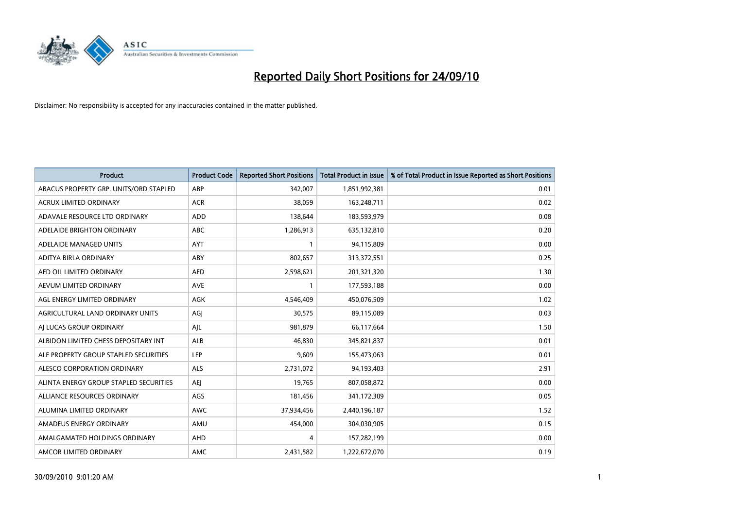

| <b>Product</b>                         | <b>Product Code</b> | <b>Reported Short Positions</b> | Total Product in Issue | % of Total Product in Issue Reported as Short Positions |
|----------------------------------------|---------------------|---------------------------------|------------------------|---------------------------------------------------------|
| ABACUS PROPERTY GRP. UNITS/ORD STAPLED | ABP                 | 342,007                         | 1,851,992,381          | 0.01                                                    |
| ACRUX LIMITED ORDINARY                 | <b>ACR</b>          | 38,059                          | 163,248,711            | 0.02                                                    |
| ADAVALE RESOURCE LTD ORDINARY          | <b>ADD</b>          | 138,644                         | 183,593,979            | 0.08                                                    |
| ADELAIDE BRIGHTON ORDINARY             | <b>ABC</b>          | 1,286,913                       | 635,132,810            | 0.20                                                    |
| ADELAIDE MANAGED UNITS                 | <b>AYT</b>          |                                 | 94,115,809             | 0.00                                                    |
| ADITYA BIRLA ORDINARY                  | ABY                 | 802,657                         | 313,372,551            | 0.25                                                    |
| AED OIL LIMITED ORDINARY               | <b>AED</b>          | 2,598,621                       | 201,321,320            | 1.30                                                    |
| AEVUM LIMITED ORDINARY                 | <b>AVE</b>          |                                 | 177,593,188            | 0.00                                                    |
| AGL ENERGY LIMITED ORDINARY            | AGK                 | 4,546,409                       | 450,076,509            | 1.02                                                    |
| AGRICULTURAL LAND ORDINARY UNITS       | AGI                 | 30,575                          | 89,115,089             | 0.03                                                    |
| AJ LUCAS GROUP ORDINARY                | AJL                 | 981,879                         | 66,117,664             | 1.50                                                    |
| ALBIDON LIMITED CHESS DEPOSITARY INT   | ALB                 | 46,830                          | 345,821,837            | 0.01                                                    |
| ALE PROPERTY GROUP STAPLED SECURITIES  | LEP                 | 9,609                           | 155,473,063            | 0.01                                                    |
| ALESCO CORPORATION ORDINARY            | <b>ALS</b>          | 2,731,072                       | 94,193,403             | 2.91                                                    |
| ALINTA ENERGY GROUP STAPLED SECURITIES | <b>AEI</b>          | 19,765                          | 807,058,872            | 0.00                                                    |
| ALLIANCE RESOURCES ORDINARY            | AGS                 | 181,456                         | 341,172,309            | 0.05                                                    |
| ALUMINA LIMITED ORDINARY               | <b>AWC</b>          | 37,934,456                      | 2,440,196,187          | 1.52                                                    |
| AMADEUS ENERGY ORDINARY                | AMU                 | 454,000                         | 304,030,905            | 0.15                                                    |
| AMALGAMATED HOLDINGS ORDINARY          | AHD                 | 4                               | 157,282,199            | 0.00                                                    |
| AMCOR LIMITED ORDINARY                 | <b>AMC</b>          | 2,431,582                       | 1,222,672,070          | 0.19                                                    |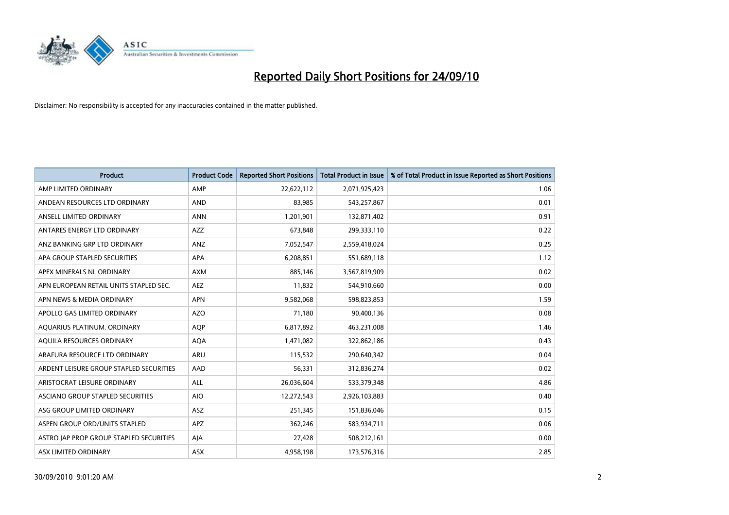

| <b>Product</b>                          | <b>Product Code</b> | <b>Reported Short Positions</b> | Total Product in Issue | % of Total Product in Issue Reported as Short Positions |
|-----------------------------------------|---------------------|---------------------------------|------------------------|---------------------------------------------------------|
| AMP LIMITED ORDINARY                    | AMP                 | 22,622,112                      | 2,071,925,423          | 1.06                                                    |
| ANDEAN RESOURCES LTD ORDINARY           | <b>AND</b>          | 83,985                          | 543,257,867            | 0.01                                                    |
| ANSELL LIMITED ORDINARY                 | <b>ANN</b>          | 1,201,901                       | 132,871,402            | 0.91                                                    |
| ANTARES ENERGY LTD ORDINARY             | <b>AZZ</b>          | 673,848                         | 299,333,110            | 0.22                                                    |
| ANZ BANKING GRP LTD ORDINARY            | ANZ                 | 7,052,547                       | 2,559,418,024          | 0.25                                                    |
| APA GROUP STAPLED SECURITIES            | <b>APA</b>          | 6,208,851                       | 551,689,118            | 1.12                                                    |
| APEX MINERALS NL ORDINARY               | <b>AXM</b>          | 885.146                         | 3,567,819,909          | 0.02                                                    |
| APN EUROPEAN RETAIL UNITS STAPLED SEC.  | <b>AEZ</b>          | 11,832                          | 544,910,660            | 0.00                                                    |
| APN NEWS & MEDIA ORDINARY               | <b>APN</b>          | 9,582,068                       | 598,823,853            | 1.59                                                    |
| APOLLO GAS LIMITED ORDINARY             | <b>AZO</b>          | 71,180                          | 90,400,136             | 0.08                                                    |
| AQUARIUS PLATINUM. ORDINARY             | AQP                 | 6,817,892                       | 463,231,008            | 1.46                                                    |
| AQUILA RESOURCES ORDINARY               | <b>AQA</b>          | 1,471,082                       | 322,862,186            | 0.43                                                    |
| ARAFURA RESOURCE LTD ORDINARY           | <b>ARU</b>          | 115,532                         | 290,640,342            | 0.04                                                    |
| ARDENT LEISURE GROUP STAPLED SECURITIES | AAD                 | 56,331                          | 312,836,274            | 0.02                                                    |
| ARISTOCRAT LEISURE ORDINARY             | ALL                 | 26,036,604                      | 533,379,348            | 4.86                                                    |
| ASCIANO GROUP STAPLED SECURITIES        | <b>AIO</b>          | 12,272,543                      | 2,926,103,883          | 0.40                                                    |
| ASG GROUP LIMITED ORDINARY              | <b>ASZ</b>          | 251,345                         | 151,836,046            | 0.15                                                    |
| ASPEN GROUP ORD/UNITS STAPLED           | <b>APZ</b>          | 362,246                         | 583,934,711            | 0.06                                                    |
| ASTRO JAP PROP GROUP STAPLED SECURITIES | AJA                 | 27,428                          | 508,212,161            | 0.00                                                    |
| ASX LIMITED ORDINARY                    | ASX                 | 4,958,198                       | 173,576,316            | 2.85                                                    |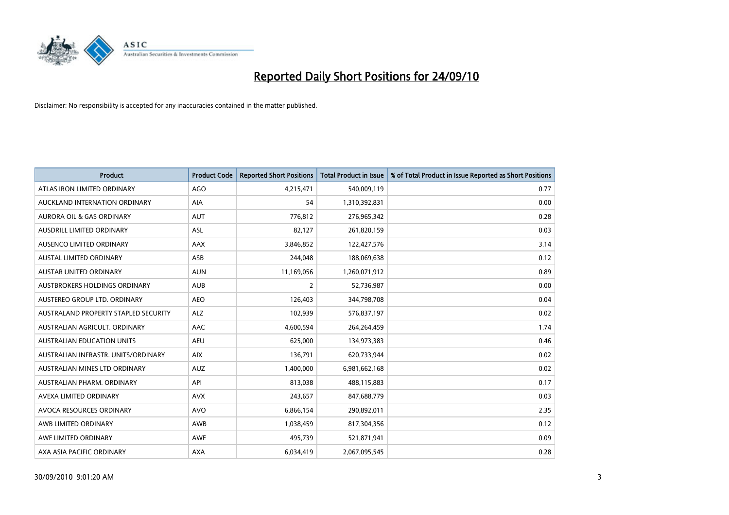

| <b>Product</b>                       | <b>Product Code</b> | <b>Reported Short Positions</b> | <b>Total Product in Issue</b> | % of Total Product in Issue Reported as Short Positions |
|--------------------------------------|---------------------|---------------------------------|-------------------------------|---------------------------------------------------------|
| ATLAS IRON LIMITED ORDINARY          | <b>AGO</b>          | 4,215,471                       | 540,009,119                   | 0.77                                                    |
| AUCKLAND INTERNATION ORDINARY        | AIA                 | 54                              | 1,310,392,831                 | 0.00                                                    |
| <b>AURORA OIL &amp; GAS ORDINARY</b> | <b>AUT</b>          | 776,812                         | 276,965,342                   | 0.28                                                    |
| AUSDRILL LIMITED ORDINARY            | ASL                 | 82,127                          | 261,820,159                   | 0.03                                                    |
| AUSENCO LIMITED ORDINARY             | <b>AAX</b>          | 3,846,852                       | 122,427,576                   | 3.14                                                    |
| <b>AUSTAL LIMITED ORDINARY</b>       | ASB                 | 244,048                         | 188,069,638                   | 0.12                                                    |
| <b>AUSTAR UNITED ORDINARY</b>        | <b>AUN</b>          | 11,169,056                      | 1,260,071,912                 | 0.89                                                    |
| AUSTBROKERS HOLDINGS ORDINARY        | <b>AUB</b>          | 2                               | 52,736,987                    | 0.00                                                    |
| AUSTEREO GROUP LTD. ORDINARY         | <b>AEO</b>          | 126,403                         | 344,798,708                   | 0.04                                                    |
| AUSTRALAND PROPERTY STAPLED SECURITY | <b>ALZ</b>          | 102,939                         | 576,837,197                   | 0.02                                                    |
| AUSTRALIAN AGRICULT. ORDINARY        | AAC                 | 4,600,594                       | 264,264,459                   | 1.74                                                    |
| AUSTRALIAN EDUCATION UNITS           | <b>AEU</b>          | 625,000                         | 134,973,383                   | 0.46                                                    |
| AUSTRALIAN INFRASTR, UNITS/ORDINARY  | <b>AIX</b>          | 136,791                         | 620,733,944                   | 0.02                                                    |
| AUSTRALIAN MINES LTD ORDINARY        | <b>AUZ</b>          | 1,400,000                       | 6,981,662,168                 | 0.02                                                    |
| AUSTRALIAN PHARM, ORDINARY           | API                 | 813,038                         | 488,115,883                   | 0.17                                                    |
| AVEXA LIMITED ORDINARY               | <b>AVX</b>          | 243,657                         | 847,688,779                   | 0.03                                                    |
| AVOCA RESOURCES ORDINARY             | <b>AVO</b>          | 6,866,154                       | 290,892,011                   | 2.35                                                    |
| AWB LIMITED ORDINARY                 | AWB                 | 1,038,459                       | 817,304,356                   | 0.12                                                    |
| AWE LIMITED ORDINARY                 | <b>AWE</b>          | 495,739                         | 521,871,941                   | 0.09                                                    |
| AXA ASIA PACIFIC ORDINARY            | <b>AXA</b>          | 6,034,419                       | 2,067,095,545                 | 0.28                                                    |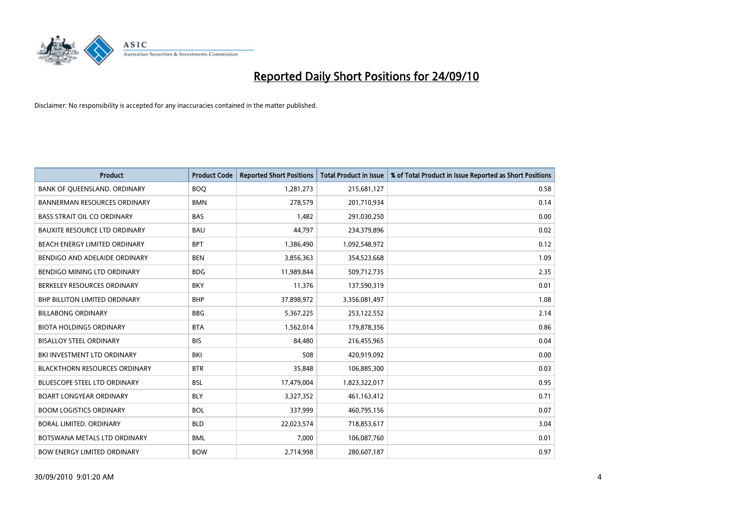

| <b>Product</b>                       | <b>Product Code</b> | <b>Reported Short Positions</b> | <b>Total Product in Issue</b> | % of Total Product in Issue Reported as Short Positions |
|--------------------------------------|---------------------|---------------------------------|-------------------------------|---------------------------------------------------------|
| BANK OF QUEENSLAND. ORDINARY         | <b>BOO</b>          | 1,281,273                       | 215,681,127                   | 0.58                                                    |
| <b>BANNERMAN RESOURCES ORDINARY</b>  | <b>BMN</b>          | 278,579                         | 201,710,934                   | 0.14                                                    |
| <b>BASS STRAIT OIL CO ORDINARY</b>   | <b>BAS</b>          | 1,482                           | 291,030,250                   | 0.00                                                    |
| <b>BAUXITE RESOURCE LTD ORDINARY</b> | <b>BAU</b>          | 44,797                          | 234,379,896                   | 0.02                                                    |
| BEACH ENERGY LIMITED ORDINARY        | <b>BPT</b>          | 1,386,490                       | 1,092,548,972                 | 0.12                                                    |
| BENDIGO AND ADELAIDE ORDINARY        | <b>BEN</b>          | 3,856,363                       | 354,523,668                   | 1.09                                                    |
| BENDIGO MINING LTD ORDINARY          | <b>BDG</b>          | 11,989,844                      | 509,712,735                   | 2.35                                                    |
| BERKELEY RESOURCES ORDINARY          | <b>BKY</b>          | 11,376                          | 137,590,319                   | 0.01                                                    |
| BHP BILLITON LIMITED ORDINARY        | <b>BHP</b>          | 37,898,972                      | 3,356,081,497                 | 1.08                                                    |
| <b>BILLABONG ORDINARY</b>            | <b>BBG</b>          | 5,367,225                       | 253,122,552                   | 2.14                                                    |
| <b>BIOTA HOLDINGS ORDINARY</b>       | <b>BTA</b>          | 1,562,014                       | 179,878,356                   | 0.86                                                    |
| <b>BISALLOY STEEL ORDINARY</b>       | <b>BIS</b>          | 84,480                          | 216,455,965                   | 0.04                                                    |
| BKI INVESTMENT LTD ORDINARY          | <b>BKI</b>          | 508                             | 420,919,092                   | 0.00                                                    |
| <b>BLACKTHORN RESOURCES ORDINARY</b> | <b>BTR</b>          | 35,848                          | 106,885,300                   | 0.03                                                    |
| <b>BLUESCOPE STEEL LTD ORDINARY</b>  | <b>BSL</b>          | 17,479,004                      | 1,823,322,017                 | 0.95                                                    |
| BOART LONGYEAR ORDINARY              | <b>BLY</b>          | 3,327,352                       | 461,163,412                   | 0.71                                                    |
| <b>BOOM LOGISTICS ORDINARY</b>       | <b>BOL</b>          | 337,999                         | 460,795,156                   | 0.07                                                    |
| BORAL LIMITED. ORDINARY              | <b>BLD</b>          | 22,023,574                      | 718,853,617                   | 3.04                                                    |
| BOTSWANA METALS LTD ORDINARY         | <b>BML</b>          | 7,000                           | 106,087,760                   | 0.01                                                    |
| <b>BOW ENERGY LIMITED ORDINARY</b>   | <b>BOW</b>          | 2,714,998                       | 280,607,187                   | 0.97                                                    |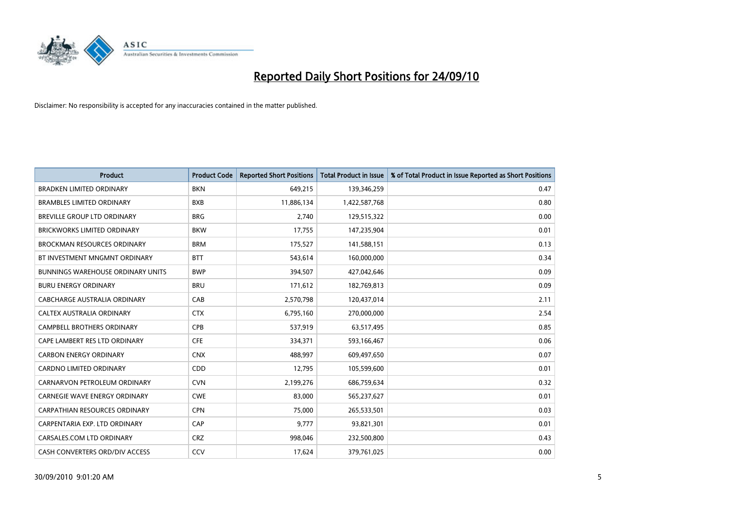

| <b>Product</b>                           | <b>Product Code</b> | <b>Reported Short Positions</b> | <b>Total Product in Issue</b> | % of Total Product in Issue Reported as Short Positions |
|------------------------------------------|---------------------|---------------------------------|-------------------------------|---------------------------------------------------------|
| <b>BRADKEN LIMITED ORDINARY</b>          | <b>BKN</b>          | 649,215                         | 139,346,259                   | 0.47                                                    |
| <b>BRAMBLES LIMITED ORDINARY</b>         | <b>BXB</b>          | 11,886,134                      | 1,422,587,768                 | 0.80                                                    |
| <b>BREVILLE GROUP LTD ORDINARY</b>       | <b>BRG</b>          | 2,740                           | 129,515,322                   | 0.00                                                    |
| BRICKWORKS LIMITED ORDINARY              | <b>BKW</b>          | 17,755                          | 147,235,904                   | 0.01                                                    |
| <b>BROCKMAN RESOURCES ORDINARY</b>       | <b>BRM</b>          | 175,527                         | 141,588,151                   | 0.13                                                    |
| BT INVESTMENT MNGMNT ORDINARY            | <b>BTT</b>          | 543,614                         | 160,000,000                   | 0.34                                                    |
| <b>BUNNINGS WAREHOUSE ORDINARY UNITS</b> | <b>BWP</b>          | 394,507                         | 427,042,646                   | 0.09                                                    |
| <b>BURU ENERGY ORDINARY</b>              | <b>BRU</b>          | 171,612                         | 182,769,813                   | 0.09                                                    |
| CABCHARGE AUSTRALIA ORDINARY             | CAB                 | 2,570,798                       | 120,437,014                   | 2.11                                                    |
| CALTEX AUSTRALIA ORDINARY                | <b>CTX</b>          | 6,795,160                       | 270,000,000                   | 2.54                                                    |
| <b>CAMPBELL BROTHERS ORDINARY</b>        | <b>CPB</b>          | 537,919                         | 63,517,495                    | 0.85                                                    |
| CAPE LAMBERT RES LTD ORDINARY            | <b>CFE</b>          | 334,371                         | 593,166,467                   | 0.06                                                    |
| <b>CARBON ENERGY ORDINARY</b>            | <b>CNX</b>          | 488.997                         | 609,497,650                   | 0.07                                                    |
| <b>CARDNO LIMITED ORDINARY</b>           | CDD                 | 12,795                          | 105,599,600                   | 0.01                                                    |
| CARNARVON PETROLEUM ORDINARY             | <b>CVN</b>          | 2,199,276                       | 686,759,634                   | 0.32                                                    |
| <b>CARNEGIE WAVE ENERGY ORDINARY</b>     | <b>CWE</b>          | 83,000                          | 565,237,627                   | 0.01                                                    |
| CARPATHIAN RESOURCES ORDINARY            | <b>CPN</b>          | 75,000                          | 265,533,501                   | 0.03                                                    |
| CARPENTARIA EXP. LTD ORDINARY            | CAP                 | 9,777                           | 93,821,301                    | 0.01                                                    |
| CARSALES.COM LTD ORDINARY                | <b>CRZ</b>          | 998,046                         | 232,500,800                   | 0.43                                                    |
| CASH CONVERTERS ORD/DIV ACCESS           | CCV                 | 17,624                          | 379,761,025                   | 0.00                                                    |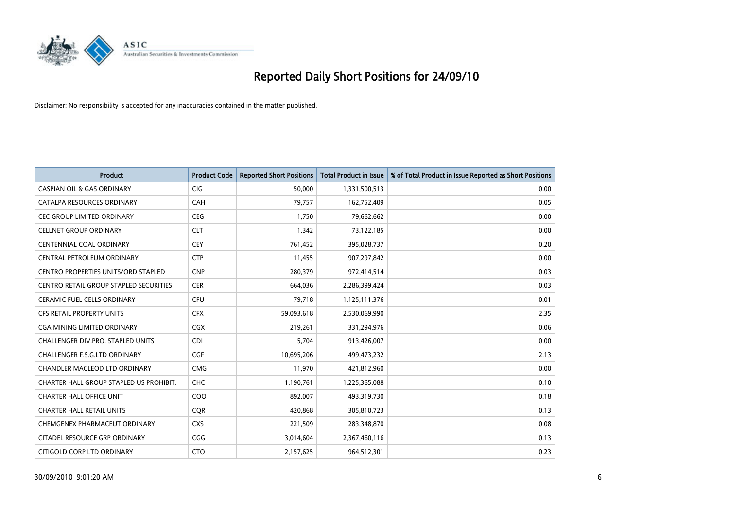

| <b>Product</b>                          | <b>Product Code</b> | <b>Reported Short Positions</b> | <b>Total Product in Issue</b> | % of Total Product in Issue Reported as Short Positions |
|-----------------------------------------|---------------------|---------------------------------|-------------------------------|---------------------------------------------------------|
| <b>CASPIAN OIL &amp; GAS ORDINARY</b>   | <b>CIG</b>          | 50,000                          | 1,331,500,513                 | 0.00                                                    |
| CATALPA RESOURCES ORDINARY              | CAH                 | 79,757                          | 162,752,409                   | 0.05                                                    |
| CEC GROUP LIMITED ORDINARY              | <b>CEG</b>          | 1,750                           | 79,662,662                    | 0.00                                                    |
| <b>CELLNET GROUP ORDINARY</b>           | <b>CLT</b>          | 1,342                           | 73,122,185                    | 0.00                                                    |
| <b>CENTENNIAL COAL ORDINARY</b>         | <b>CEY</b>          | 761,452                         | 395,028,737                   | 0.20                                                    |
| CENTRAL PETROLEUM ORDINARY              | <b>CTP</b>          | 11,455                          | 907,297,842                   | 0.00                                                    |
| CENTRO PROPERTIES UNITS/ORD STAPLED     | <b>CNP</b>          | 280,379                         | 972,414,514                   | 0.03                                                    |
| CENTRO RETAIL GROUP STAPLED SECURITIES  | <b>CER</b>          | 664,036                         | 2,286,399,424                 | 0.03                                                    |
| <b>CERAMIC FUEL CELLS ORDINARY</b>      | CFU                 | 79,718                          | 1,125,111,376                 | 0.01                                                    |
| <b>CFS RETAIL PROPERTY UNITS</b>        | <b>CFX</b>          | 59,093,618                      | 2,530,069,990                 | 2.35                                                    |
| CGA MINING LIMITED ORDINARY             | <b>CGX</b>          | 219,261                         | 331,294,976                   | 0.06                                                    |
| CHALLENGER DIV.PRO. STAPLED UNITS       | <b>CDI</b>          | 5,704                           | 913,426,007                   | 0.00                                                    |
| CHALLENGER F.S.G.LTD ORDINARY           | CGF                 | 10,695,206                      | 499,473,232                   | 2.13                                                    |
| <b>CHANDLER MACLEOD LTD ORDINARY</b>    | <b>CMG</b>          | 11,970                          | 421,812,960                   | 0.00                                                    |
| CHARTER HALL GROUP STAPLED US PROHIBIT. | <b>CHC</b>          | 1,190,761                       | 1,225,365,088                 | 0.10                                                    |
| <b>CHARTER HALL OFFICE UNIT</b>         | COO                 | 892,007                         | 493,319,730                   | 0.18                                                    |
| <b>CHARTER HALL RETAIL UNITS</b>        | <b>CQR</b>          | 420,868                         | 305,810,723                   | 0.13                                                    |
| CHEMGENEX PHARMACEUT ORDINARY           | <b>CXS</b>          | 221,509                         | 283,348,870                   | 0.08                                                    |
| CITADEL RESOURCE GRP ORDINARY           | CGG                 | 3,014,604                       | 2,367,460,116                 | 0.13                                                    |
| CITIGOLD CORP LTD ORDINARY              | <b>CTO</b>          | 2,157,625                       | 964,512,301                   | 0.23                                                    |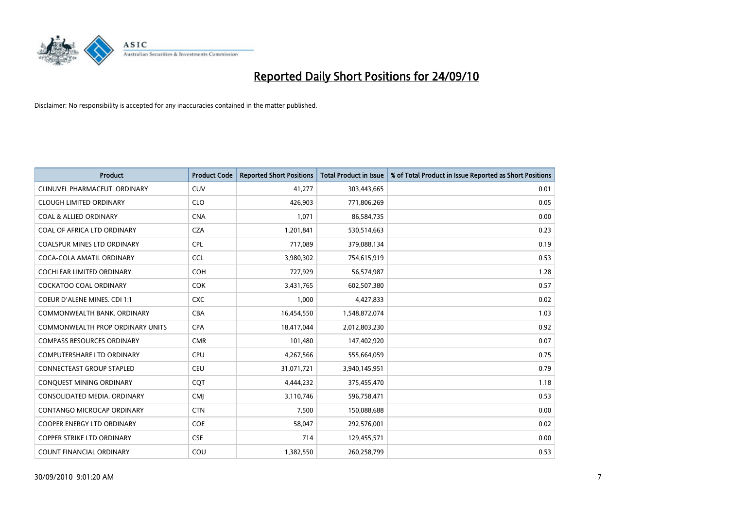

| <b>Product</b>                      | <b>Product Code</b> | <b>Reported Short Positions</b> | <b>Total Product in Issue</b> | % of Total Product in Issue Reported as Short Positions |
|-------------------------------------|---------------------|---------------------------------|-------------------------------|---------------------------------------------------------|
| CLINUVEL PHARMACEUT, ORDINARY       | CUV                 | 41,277                          | 303,443,665                   | 0.01                                                    |
| <b>CLOUGH LIMITED ORDINARY</b>      | <b>CLO</b>          | 426,903                         | 771,806,269                   | 0.05                                                    |
| <b>COAL &amp; ALLIED ORDINARY</b>   | <b>CNA</b>          | 1,071                           | 86,584,735                    | 0.00                                                    |
| COAL OF AFRICA LTD ORDINARY         | <b>CZA</b>          | 1,201,841                       | 530,514,663                   | 0.23                                                    |
| <b>COALSPUR MINES LTD ORDINARY</b>  | <b>CPL</b>          | 717,089                         | 379,088,134                   | 0.19                                                    |
| COCA-COLA AMATIL ORDINARY           | <b>CCL</b>          | 3,980,302                       | 754,615,919                   | 0.53                                                    |
| <b>COCHLEAR LIMITED ORDINARY</b>    | <b>COH</b>          | 727,929                         | 56,574,987                    | 1.28                                                    |
| COCKATOO COAL ORDINARY              | <b>COK</b>          | 3,431,765                       | 602,507,380                   | 0.57                                                    |
| <b>COEUR D'ALENE MINES. CDI 1:1</b> | <b>CXC</b>          | 1,000                           | 4,427,833                     | 0.02                                                    |
| COMMONWEALTH BANK, ORDINARY         | <b>CBA</b>          | 16,454,550                      | 1,548,872,074                 | 1.03                                                    |
| COMMONWEALTH PROP ORDINARY UNITS    | <b>CPA</b>          | 18,417,044                      | 2,012,803,230                 | 0.92                                                    |
| <b>COMPASS RESOURCES ORDINARY</b>   | <b>CMR</b>          | 101,480                         | 147,402,920                   | 0.07                                                    |
| COMPUTERSHARE LTD ORDINARY          | <b>CPU</b>          | 4,267,566                       | 555,664,059                   | 0.75                                                    |
| CONNECTEAST GROUP STAPLED           | <b>CEU</b>          | 31,071,721                      | 3,940,145,951                 | 0.79                                                    |
| CONQUEST MINING ORDINARY            | CQT                 | 4,444,232                       | 375,455,470                   | 1.18                                                    |
| CONSOLIDATED MEDIA, ORDINARY        | <b>CMI</b>          | 3,110,746                       | 596,758,471                   | 0.53                                                    |
| CONTANGO MICROCAP ORDINARY          | <b>CTN</b>          | 7,500                           | 150,088,688                   | 0.00                                                    |
| COOPER ENERGY LTD ORDINARY          | <b>COE</b>          | 58,047                          | 292,576,001                   | 0.02                                                    |
| <b>COPPER STRIKE LTD ORDINARY</b>   | <b>CSE</b>          | 714                             | 129,455,571                   | 0.00                                                    |
| COUNT FINANCIAL ORDINARY            | COU                 | 1,382,550                       | 260,258,799                   | 0.53                                                    |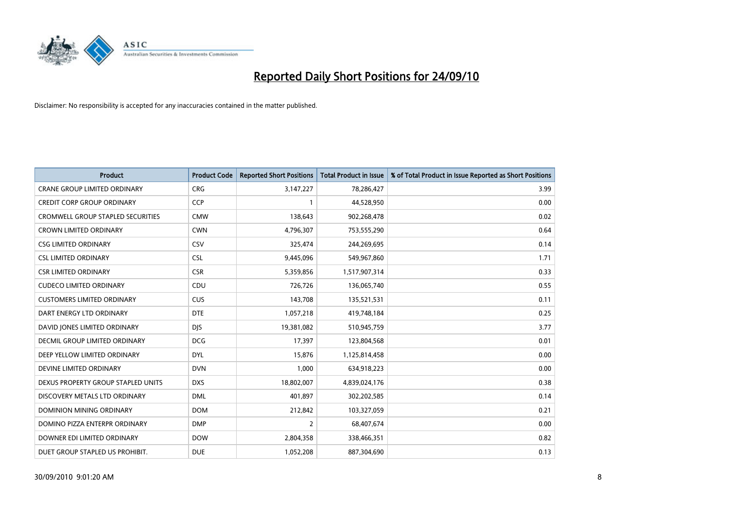

| <b>Product</b>                       | <b>Product Code</b> | <b>Reported Short Positions</b> | Total Product in Issue | % of Total Product in Issue Reported as Short Positions |
|--------------------------------------|---------------------|---------------------------------|------------------------|---------------------------------------------------------|
| <b>CRANE GROUP LIMITED ORDINARY</b>  | <b>CRG</b>          | 3,147,227                       | 78,286,427             | 3.99                                                    |
| <b>CREDIT CORP GROUP ORDINARY</b>    | <b>CCP</b>          |                                 | 44,528,950             | 0.00                                                    |
| CROMWELL GROUP STAPLED SECURITIES    | <b>CMW</b>          | 138,643                         | 902,268,478            | 0.02                                                    |
| <b>CROWN LIMITED ORDINARY</b>        | <b>CWN</b>          | 4,796,307                       | 753,555,290            | 0.64                                                    |
| <b>CSG LIMITED ORDINARY</b>          | CSV                 | 325,474                         | 244,269,695            | 0.14                                                    |
| <b>CSL LIMITED ORDINARY</b>          | <b>CSL</b>          | 9,445,096                       | 549,967,860            | 1.71                                                    |
| <b>CSR LIMITED ORDINARY</b>          | <b>CSR</b>          | 5,359,856                       | 1,517,907,314          | 0.33                                                    |
| <b>CUDECO LIMITED ORDINARY</b>       | CDU                 | 726,726                         | 136,065,740            | 0.55                                                    |
| <b>CUSTOMERS LIMITED ORDINARY</b>    | CUS                 | 143,708                         | 135,521,531            | 0.11                                                    |
| DART ENERGY LTD ORDINARY             | <b>DTE</b>          | 1,057,218                       | 419,748,184            | 0.25                                                    |
| DAVID JONES LIMITED ORDINARY         | <b>DJS</b>          | 19,381,082                      | 510,945,759            | 3.77                                                    |
| <b>DECMIL GROUP LIMITED ORDINARY</b> | <b>DCG</b>          | 17,397                          | 123,804,568            | 0.01                                                    |
| DEEP YELLOW LIMITED ORDINARY         | <b>DYL</b>          | 15,876                          | 1,125,814,458          | 0.00                                                    |
| DEVINE LIMITED ORDINARY              | <b>DVN</b>          | 1,000                           | 634,918,223            | 0.00                                                    |
| DEXUS PROPERTY GROUP STAPLED UNITS   | <b>DXS</b>          | 18,802,007                      | 4,839,024,176          | 0.38                                                    |
| DISCOVERY METALS LTD ORDINARY        | <b>DML</b>          | 401,897                         | 302,202,585            | 0.14                                                    |
| DOMINION MINING ORDINARY             | <b>DOM</b>          | 212,842                         | 103,327,059            | 0.21                                                    |
| DOMINO PIZZA ENTERPR ORDINARY        | <b>DMP</b>          | 2                               | 68,407,674             | 0.00                                                    |
| DOWNER EDI LIMITED ORDINARY          | <b>DOW</b>          | 2,804,358                       | 338,466,351            | 0.82                                                    |
| DUET GROUP STAPLED US PROHIBIT.      | <b>DUE</b>          | 1,052,208                       | 887,304,690            | 0.13                                                    |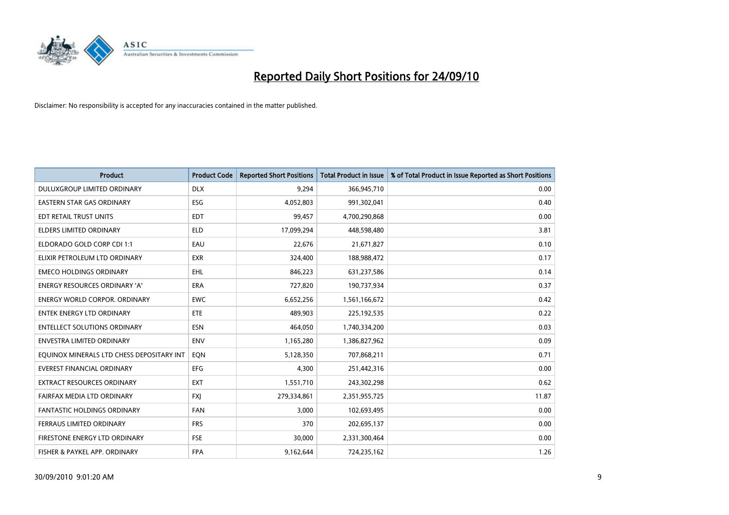

| <b>Product</b>                            | <b>Product Code</b> | <b>Reported Short Positions</b> | Total Product in Issue | % of Total Product in Issue Reported as Short Positions |
|-------------------------------------------|---------------------|---------------------------------|------------------------|---------------------------------------------------------|
| DULUXGROUP LIMITED ORDINARY               | <b>DLX</b>          | 9,294                           | 366,945,710            | 0.00                                                    |
| EASTERN STAR GAS ORDINARY                 | ESG                 | 4,052,803                       | 991,302,041            | 0.40                                                    |
| EDT RETAIL TRUST UNITS                    | <b>EDT</b>          | 99,457                          | 4,700,290,868          | 0.00                                                    |
| ELDERS LIMITED ORDINARY                   | <b>ELD</b>          | 17,099,294                      | 448,598,480            | 3.81                                                    |
| ELDORADO GOLD CORP CDI 1:1                | EAU                 | 22,676                          | 21,671,827             | 0.10                                                    |
| ELIXIR PETROLEUM LTD ORDINARY             | <b>EXR</b>          | 324,400                         | 188,988,472            | 0.17                                                    |
| <b>EMECO HOLDINGS ORDINARY</b>            | <b>EHL</b>          | 846,223                         | 631,237,586            | 0.14                                                    |
| ENERGY RESOURCES ORDINARY 'A'             | <b>ERA</b>          | 727,820                         | 190,737,934            | 0.37                                                    |
| <b>ENERGY WORLD CORPOR, ORDINARY</b>      | <b>EWC</b>          | 6,652,256                       | 1,561,166,672          | 0.42                                                    |
| <b>ENTEK ENERGY LTD ORDINARY</b>          | <b>ETE</b>          | 489,903                         | 225,192,535            | 0.22                                                    |
| ENTELLECT SOLUTIONS ORDINARY              | <b>ESN</b>          | 464,050                         | 1,740,334,200          | 0.03                                                    |
| <b>ENVESTRA LIMITED ORDINARY</b>          | <b>ENV</b>          | 1,165,280                       | 1,386,827,962          | 0.09                                                    |
| EQUINOX MINERALS LTD CHESS DEPOSITARY INT | EON                 | 5,128,350                       | 707,868,211            | 0.71                                                    |
| <b>EVEREST FINANCIAL ORDINARY</b>         | EFG                 | 4,300                           | 251,442,316            | 0.00                                                    |
| <b>EXTRACT RESOURCES ORDINARY</b>         | <b>EXT</b>          | 1,551,710                       | 243,302,298            | 0.62                                                    |
| FAIRFAX MEDIA LTD ORDINARY                | <b>FXI</b>          | 279,334,861                     | 2,351,955,725          | 11.87                                                   |
| FANTASTIC HOLDINGS ORDINARY               | <b>FAN</b>          | 3,000                           | 102,693,495            | 0.00                                                    |
| FERRAUS LIMITED ORDINARY                  | <b>FRS</b>          | 370                             | 202,695,137            | 0.00                                                    |
| FIRESTONE ENERGY LTD ORDINARY             | <b>FSE</b>          | 30,000                          | 2,331,300,464          | 0.00                                                    |
| FISHER & PAYKEL APP. ORDINARY             | <b>FPA</b>          | 9,162,644                       | 724,235,162            | 1.26                                                    |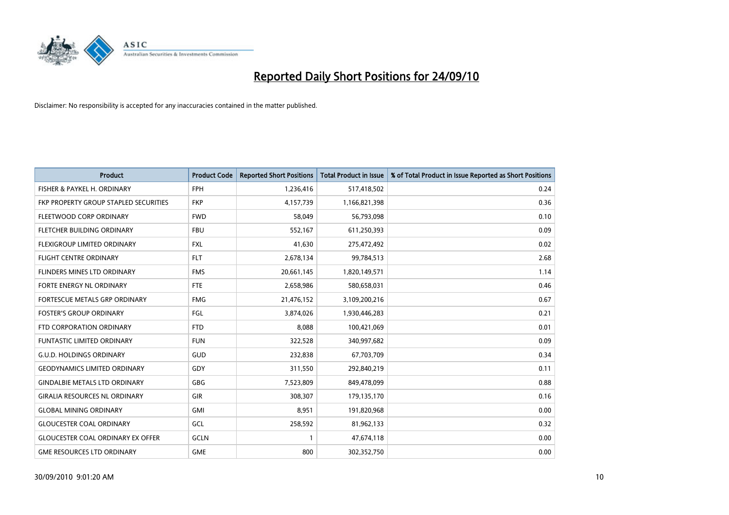

| <b>Product</b>                           | <b>Product Code</b> | <b>Reported Short Positions</b> | <b>Total Product in Issue</b> | % of Total Product in Issue Reported as Short Positions |
|------------------------------------------|---------------------|---------------------------------|-------------------------------|---------------------------------------------------------|
| FISHER & PAYKEL H. ORDINARY              | <b>FPH</b>          | 1,236,416                       | 517,418,502                   | 0.24                                                    |
| FKP PROPERTY GROUP STAPLED SECURITIES    | <b>FKP</b>          | 4,157,739                       | 1,166,821,398                 | 0.36                                                    |
| FLEETWOOD CORP ORDINARY                  | <b>FWD</b>          | 58,049                          | 56,793,098                    | 0.10                                                    |
| FLETCHER BUILDING ORDINARY               | <b>FBU</b>          | 552,167                         | 611,250,393                   | 0.09                                                    |
| FLEXIGROUP LIMITED ORDINARY              | <b>FXL</b>          | 41,630                          | 275,472,492                   | 0.02                                                    |
| <b>FLIGHT CENTRE ORDINARY</b>            | <b>FLT</b>          | 2,678,134                       | 99,784,513                    | 2.68                                                    |
| FLINDERS MINES LTD ORDINARY              | <b>FMS</b>          | 20,661,145                      | 1,820,149,571                 | 1.14                                                    |
| FORTE ENERGY NL ORDINARY                 | <b>FTE</b>          | 2,658,986                       | 580,658,031                   | 0.46                                                    |
| FORTESCUE METALS GRP ORDINARY            | <b>FMG</b>          | 21,476,152                      | 3,109,200,216                 | 0.67                                                    |
| <b>FOSTER'S GROUP ORDINARY</b>           | FGL                 | 3,874,026                       | 1,930,446,283                 | 0.21                                                    |
| FTD CORPORATION ORDINARY                 | <b>FTD</b>          | 8,088                           | 100,421,069                   | 0.01                                                    |
| FUNTASTIC LIMITED ORDINARY               | <b>FUN</b>          | 322,528                         | 340,997,682                   | 0.09                                                    |
| <b>G.U.D. HOLDINGS ORDINARY</b>          | <b>GUD</b>          | 232,838                         | 67,703,709                    | 0.34                                                    |
| <b>GEODYNAMICS LIMITED ORDINARY</b>      | GDY                 | 311,550                         | 292,840,219                   | 0.11                                                    |
| <b>GINDALBIE METALS LTD ORDINARY</b>     | <b>GBG</b>          | 7,523,809                       | 849,478,099                   | 0.88                                                    |
| <b>GIRALIA RESOURCES NL ORDINARY</b>     | GIR                 | 308,307                         | 179,135,170                   | 0.16                                                    |
| <b>GLOBAL MINING ORDINARY</b>            | <b>GMI</b>          | 8,951                           | 191,820,968                   | 0.00                                                    |
| <b>GLOUCESTER COAL ORDINARY</b>          | GCL                 | 258,592                         | 81,962,133                    | 0.32                                                    |
| <b>GLOUCESTER COAL ORDINARY EX OFFER</b> | GCLN                |                                 | 47,674,118                    | 0.00                                                    |
| <b>GME RESOURCES LTD ORDINARY</b>        | <b>GME</b>          | 800                             | 302,352,750                   | 0.00                                                    |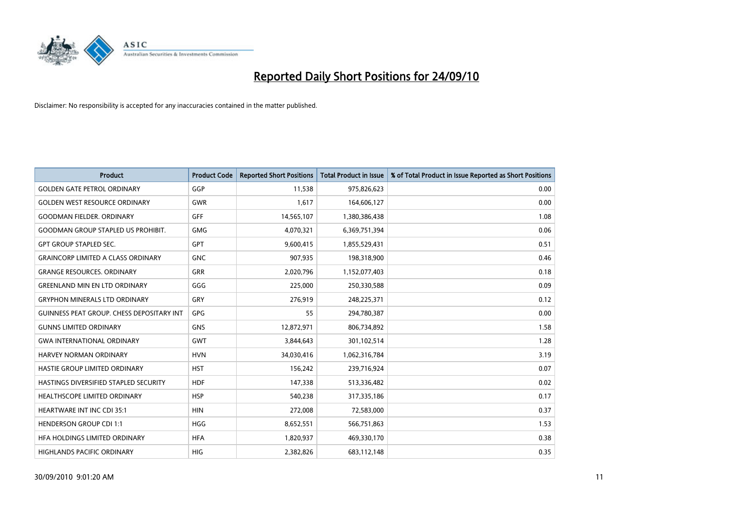

| <b>Product</b>                                   | <b>Product Code</b> | <b>Reported Short Positions</b> | Total Product in Issue | % of Total Product in Issue Reported as Short Positions |
|--------------------------------------------------|---------------------|---------------------------------|------------------------|---------------------------------------------------------|
| <b>GOLDEN GATE PETROL ORDINARY</b>               | GGP                 | 11,538                          | 975,826,623            | 0.00                                                    |
| <b>GOLDEN WEST RESOURCE ORDINARY</b>             | <b>GWR</b>          | 1,617                           | 164,606,127            | 0.00                                                    |
| <b>GOODMAN FIELDER, ORDINARY</b>                 | <b>GFF</b>          | 14,565,107                      | 1,380,386,438          | 1.08                                                    |
| <b>GOODMAN GROUP STAPLED US PROHIBIT.</b>        | <b>GMG</b>          | 4,070,321                       | 6,369,751,394          | 0.06                                                    |
| <b>GPT GROUP STAPLED SEC.</b>                    | <b>GPT</b>          | 9,600,415                       | 1,855,529,431          | 0.51                                                    |
| <b>GRAINCORP LIMITED A CLASS ORDINARY</b>        | <b>GNC</b>          | 907,935                         | 198,318,900            | 0.46                                                    |
| <b>GRANGE RESOURCES. ORDINARY</b>                | <b>GRR</b>          | 2,020,796                       | 1,152,077,403          | 0.18                                                    |
| <b>GREENLAND MIN EN LTD ORDINARY</b>             | GGG                 | 225,000                         | 250,330,588            | 0.09                                                    |
| <b>GRYPHON MINERALS LTD ORDINARY</b>             | GRY                 | 276,919                         | 248,225,371            | 0.12                                                    |
| <b>GUINNESS PEAT GROUP. CHESS DEPOSITARY INT</b> | <b>GPG</b>          | 55                              | 294,780,387            | 0.00                                                    |
| <b>GUNNS LIMITED ORDINARY</b>                    | <b>GNS</b>          | 12,872,971                      | 806,734,892            | 1.58                                                    |
| <b>GWA INTERNATIONAL ORDINARY</b>                | <b>GWT</b>          | 3,844,643                       | 301,102,514            | 1.28                                                    |
| HARVEY NORMAN ORDINARY                           | <b>HVN</b>          | 34,030,416                      | 1,062,316,784          | 3.19                                                    |
| HASTIE GROUP LIMITED ORDINARY                    | <b>HST</b>          | 156,242                         | 239,716,924            | 0.07                                                    |
| HASTINGS DIVERSIFIED STAPLED SECURITY            | <b>HDF</b>          | 147,338                         | 513,336,482            | 0.02                                                    |
| <b>HEALTHSCOPE LIMITED ORDINARY</b>              | <b>HSP</b>          | 540,238                         | 317,335,186            | 0.17                                                    |
| HEARTWARE INT INC CDI 35:1                       | <b>HIN</b>          | 272,008                         | 72,583,000             | 0.37                                                    |
| <b>HENDERSON GROUP CDI 1:1</b>                   | <b>HGG</b>          | 8,652,551                       | 566,751,863            | 1.53                                                    |
| HFA HOLDINGS LIMITED ORDINARY                    | <b>HFA</b>          | 1,820,937                       | 469,330,170            | 0.38                                                    |
| HIGHLANDS PACIFIC ORDINARY                       | <b>HIG</b>          | 2,382,826                       | 683,112,148            | 0.35                                                    |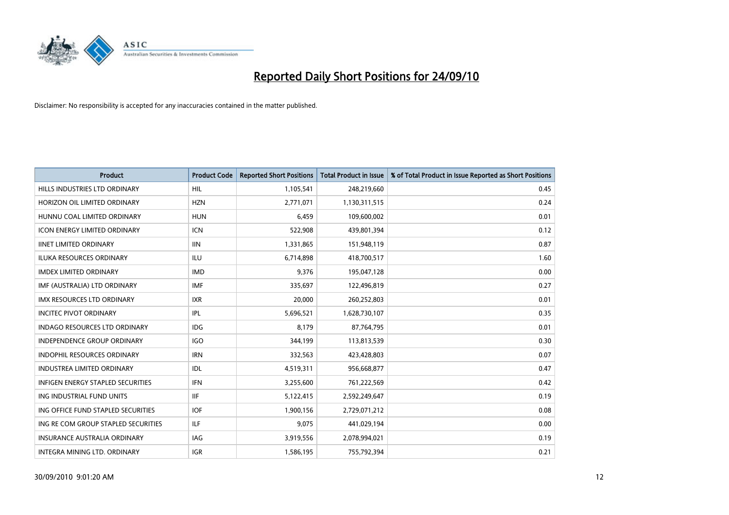

| <b>Product</b>                           | <b>Product Code</b> | <b>Reported Short Positions</b> | <b>Total Product in Issue</b> | % of Total Product in Issue Reported as Short Positions |
|------------------------------------------|---------------------|---------------------------------|-------------------------------|---------------------------------------------------------|
| HILLS INDUSTRIES LTD ORDINARY            | HIL                 | 1,105,541                       | 248,219,660                   | 0.45                                                    |
| HORIZON OIL LIMITED ORDINARY             | <b>HZN</b>          | 2,771,071                       | 1,130,311,515                 | 0.24                                                    |
| HUNNU COAL LIMITED ORDINARY              | <b>HUN</b>          | 6,459                           | 109,600,002                   | 0.01                                                    |
| ICON ENERGY LIMITED ORDINARY             | <b>ICN</b>          | 522,908                         | 439,801,394                   | 0.12                                                    |
| <b>IINET LIMITED ORDINARY</b>            | <b>IIN</b>          | 1,331,865                       | 151,948,119                   | 0.87                                                    |
| <b>ILUKA RESOURCES ORDINARY</b>          | <b>ILU</b>          | 6,714,898                       | 418,700,517                   | 1.60                                                    |
| <b>IMDEX LIMITED ORDINARY</b>            | <b>IMD</b>          | 9,376                           | 195,047,128                   | 0.00                                                    |
| IMF (AUSTRALIA) LTD ORDINARY             | <b>IMF</b>          | 335,697                         | 122,496,819                   | 0.27                                                    |
| IMX RESOURCES LTD ORDINARY               | <b>IXR</b>          | 20,000                          | 260,252,803                   | 0.01                                                    |
| <b>INCITEC PIVOT ORDINARY</b>            | IPL                 | 5,696,521                       | 1,628,730,107                 | 0.35                                                    |
| <b>INDAGO RESOURCES LTD ORDINARY</b>     | <b>IDG</b>          | 8,179                           | 87,764,795                    | 0.01                                                    |
| <b>INDEPENDENCE GROUP ORDINARY</b>       | <b>IGO</b>          | 344,199                         | 113,813,539                   | 0.30                                                    |
| <b>INDOPHIL RESOURCES ORDINARY</b>       | <b>IRN</b>          | 332,563                         | 423,428,803                   | 0.07                                                    |
| <b>INDUSTREA LIMITED ORDINARY</b>        | IDL                 | 4,519,311                       | 956,668,877                   | 0.47                                                    |
| <b>INFIGEN ENERGY STAPLED SECURITIES</b> | <b>IFN</b>          | 3,255,600                       | 761,222,569                   | 0.42                                                    |
| ING INDUSTRIAL FUND UNITS                | <b>IIF</b>          | 5,122,415                       | 2,592,249,647                 | 0.19                                                    |
| ING OFFICE FUND STAPLED SECURITIES       | <b>IOF</b>          | 1,900,156                       | 2,729,071,212                 | 0.08                                                    |
| ING RE COM GROUP STAPLED SECURITIES      | <b>ILF</b>          | 9,075                           | 441,029,194                   | 0.00                                                    |
| <b>INSURANCE AUSTRALIA ORDINARY</b>      | IAG                 | 3,919,556                       | 2,078,994,021                 | 0.19                                                    |
| INTEGRA MINING LTD. ORDINARY             | <b>IGR</b>          | 1,586,195                       | 755,792,394                   | 0.21                                                    |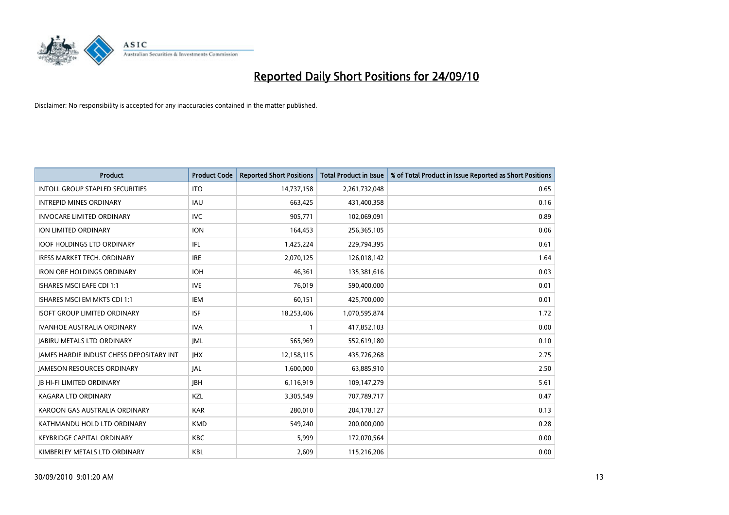

| <b>Product</b>                                  | <b>Product Code</b> | <b>Reported Short Positions</b> | <b>Total Product in Issue</b> | % of Total Product in Issue Reported as Short Positions |
|-------------------------------------------------|---------------------|---------------------------------|-------------------------------|---------------------------------------------------------|
| <b>INTOLL GROUP STAPLED SECURITIES</b>          | <b>ITO</b>          | 14,737,158                      | 2,261,732,048                 | 0.65                                                    |
| <b>INTREPID MINES ORDINARY</b>                  | <b>IAU</b>          | 663,425                         | 431,400,358                   | 0.16                                                    |
| <b>INVOCARE LIMITED ORDINARY</b>                | <b>IVC</b>          | 905,771                         | 102,069,091                   | 0.89                                                    |
| ION LIMITED ORDINARY                            | <b>ION</b>          | 164,453                         | 256,365,105                   | 0.06                                                    |
| <b>IOOF HOLDINGS LTD ORDINARY</b>               | <b>IFL</b>          | 1,425,224                       | 229,794,395                   | 0.61                                                    |
| <b>IRESS MARKET TECH. ORDINARY</b>              | <b>IRE</b>          | 2,070,125                       | 126,018,142                   | 1.64                                                    |
| <b>IRON ORE HOLDINGS ORDINARY</b>               | <b>IOH</b>          | 46,361                          | 135,381,616                   | 0.03                                                    |
| ISHARES MSCI EAFE CDI 1:1                       | <b>IVE</b>          | 76,019                          | 590,400,000                   | 0.01                                                    |
| ISHARES MSCI EM MKTS CDI 1:1                    | <b>IEM</b>          | 60,151                          | 425,700,000                   | 0.01                                                    |
| <b>ISOFT GROUP LIMITED ORDINARY</b>             | <b>ISF</b>          | 18,253,406                      | 1,070,595,874                 | 1.72                                                    |
| <b>IVANHOE AUSTRALIA ORDINARY</b>               | <b>IVA</b>          |                                 | 417,852,103                   | 0.00                                                    |
| <b>JABIRU METALS LTD ORDINARY</b>               | <b>JML</b>          | 565,969                         | 552,619,180                   | 0.10                                                    |
| <b>IAMES HARDIE INDUST CHESS DEPOSITARY INT</b> | <b>IHX</b>          | 12,158,115                      | 435,726,268                   | 2.75                                                    |
| <b>JAMESON RESOURCES ORDINARY</b>               | JAL                 | 1,600,000                       | 63,885,910                    | 2.50                                                    |
| <b>JB HI-FI LIMITED ORDINARY</b>                | <b>JBH</b>          | 6,116,919                       | 109,147,279                   | 5.61                                                    |
| KAGARA LTD ORDINARY                             | KZL                 | 3,305,549                       | 707,789,717                   | 0.47                                                    |
| KAROON GAS AUSTRALIA ORDINARY                   | <b>KAR</b>          | 280,010                         | 204,178,127                   | 0.13                                                    |
| KATHMANDU HOLD LTD ORDINARY                     | <b>KMD</b>          | 549,240                         | 200,000,000                   | 0.28                                                    |
| <b>KEYBRIDGE CAPITAL ORDINARY</b>               | <b>KBC</b>          | 5,999                           | 172,070,564                   | 0.00                                                    |
| KIMBERLEY METALS LTD ORDINARY                   | <b>KBL</b>          | 2,609                           | 115,216,206                   | 0.00                                                    |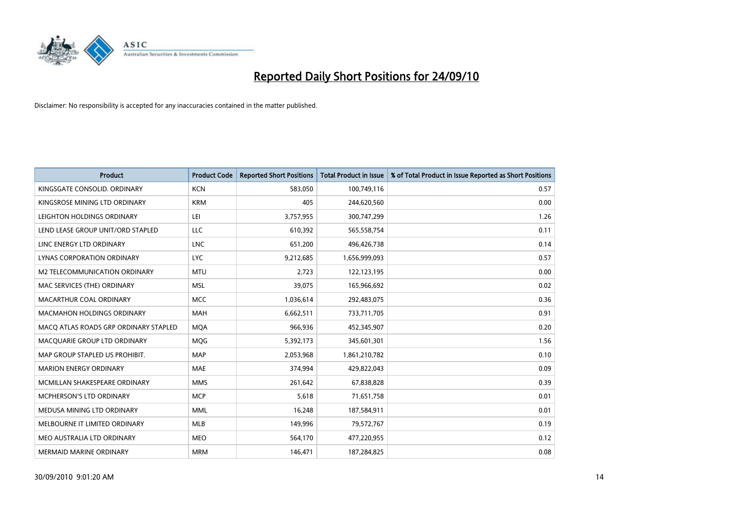

| <b>Product</b>                        | <b>Product Code</b> | <b>Reported Short Positions</b> | <b>Total Product in Issue</b> | % of Total Product in Issue Reported as Short Positions |
|---------------------------------------|---------------------|---------------------------------|-------------------------------|---------------------------------------------------------|
| KINGSGATE CONSOLID. ORDINARY          | <b>KCN</b>          | 583,050                         | 100,749,116                   | 0.57                                                    |
| KINGSROSE MINING LTD ORDINARY         | <b>KRM</b>          | 405                             | 244,620,560                   | 0.00                                                    |
| LEIGHTON HOLDINGS ORDINARY            | LEI                 | 3,757,955                       | 300,747,299                   | 1.26                                                    |
| LEND LEASE GROUP UNIT/ORD STAPLED     | LLC                 | 610,392                         | 565,558,754                   | 0.11                                                    |
| LINC ENERGY LTD ORDINARY              | <b>LNC</b>          | 651,200                         | 496,426,738                   | 0.14                                                    |
| LYNAS CORPORATION ORDINARY            | <b>LYC</b>          | 9,212,685                       | 1,656,999,093                 | 0.57                                                    |
| M2 TELECOMMUNICATION ORDINARY         | <b>MTU</b>          | 2,723                           | 122,123,195                   | 0.00                                                    |
| MAC SERVICES (THE) ORDINARY           | <b>MSL</b>          | 39,075                          | 165,966,692                   | 0.02                                                    |
| MACARTHUR COAL ORDINARY               | <b>MCC</b>          | 1,036,614                       | 292,483,075                   | 0.36                                                    |
| <b>MACMAHON HOLDINGS ORDINARY</b>     | <b>MAH</b>          | 6,662,511                       | 733,711,705                   | 0.91                                                    |
| MACQ ATLAS ROADS GRP ORDINARY STAPLED | <b>MOA</b>          | 966,936                         | 452,345,907                   | 0.20                                                    |
| MACQUARIE GROUP LTD ORDINARY          | MQG                 | 5,392,173                       | 345,601,301                   | 1.56                                                    |
| MAP GROUP STAPLED US PROHIBIT.        | <b>MAP</b>          | 2,053,968                       | 1,861,210,782                 | 0.10                                                    |
| <b>MARION ENERGY ORDINARY</b>         | <b>MAE</b>          | 374,994                         | 429,822,043                   | 0.09                                                    |
| MCMILLAN SHAKESPEARE ORDINARY         | <b>MMS</b>          | 261,642                         | 67,838,828                    | 0.39                                                    |
| MCPHERSON'S LTD ORDINARY              | <b>MCP</b>          | 5,618                           | 71,651,758                    | 0.01                                                    |
| MEDUSA MINING LTD ORDINARY            | <b>MML</b>          | 16,248                          | 187,584,911                   | 0.01                                                    |
| MELBOURNE IT LIMITED ORDINARY         | <b>MLB</b>          | 149,996                         | 79,572,767                    | 0.19                                                    |
| MEO AUSTRALIA LTD ORDINARY            | <b>MEO</b>          | 564,170                         | 477,220,955                   | 0.12                                                    |
| MERMAID MARINE ORDINARY               | <b>MRM</b>          | 146,471                         | 187,284,825                   | 0.08                                                    |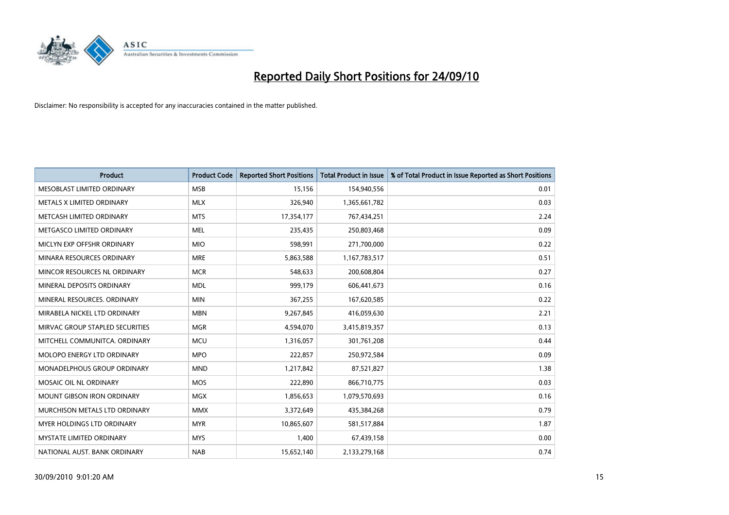

| <b>Product</b>                     | <b>Product Code</b> | <b>Reported Short Positions</b> | <b>Total Product in Issue</b> | % of Total Product in Issue Reported as Short Positions |
|------------------------------------|---------------------|---------------------------------|-------------------------------|---------------------------------------------------------|
| MESOBLAST LIMITED ORDINARY         | <b>MSB</b>          | 15,156                          | 154,940,556                   | 0.01                                                    |
| METALS X LIMITED ORDINARY          | <b>MLX</b>          | 326,940                         | 1,365,661,782                 | 0.03                                                    |
| METCASH LIMITED ORDINARY           | <b>MTS</b>          | 17,354,177                      | 767,434,251                   | 2.24                                                    |
| METGASCO LIMITED ORDINARY          | <b>MEL</b>          | 235,435                         | 250,803,468                   | 0.09                                                    |
| MICLYN EXP OFFSHR ORDINARY         | <b>MIO</b>          | 598,991                         | 271,700,000                   | 0.22                                                    |
| MINARA RESOURCES ORDINARY          | <b>MRE</b>          | 5,863,588                       | 1,167,783,517                 | 0.51                                                    |
| MINCOR RESOURCES NL ORDINARY       | <b>MCR</b>          | 548,633                         | 200,608,804                   | 0.27                                                    |
| MINERAL DEPOSITS ORDINARY          | <b>MDL</b>          | 999,179                         | 606,441,673                   | 0.16                                                    |
| MINERAL RESOURCES. ORDINARY        | <b>MIN</b>          | 367,255                         | 167,620,585                   | 0.22                                                    |
| MIRABELA NICKEL LTD ORDINARY       | <b>MBN</b>          | 9,267,845                       | 416,059,630                   | 2.21                                                    |
| MIRVAC GROUP STAPLED SECURITIES    | <b>MGR</b>          | 4,594,070                       | 3,415,819,357                 | 0.13                                                    |
| MITCHELL COMMUNITCA, ORDINARY      | <b>MCU</b>          | 1,316,057                       | 301,761,208                   | 0.44                                                    |
| MOLOPO ENERGY LTD ORDINARY         | <b>MPO</b>          | 222,857                         | 250,972,584                   | 0.09                                                    |
| <b>MONADELPHOUS GROUP ORDINARY</b> | <b>MND</b>          | 1,217,842                       | 87,521,827                    | 1.38                                                    |
| MOSAIC OIL NL ORDINARY             | <b>MOS</b>          | 222,890                         | 866,710,775                   | 0.03                                                    |
| <b>MOUNT GIBSON IRON ORDINARY</b>  | <b>MGX</b>          | 1,856,653                       | 1,079,570,693                 | 0.16                                                    |
| MURCHISON METALS LTD ORDINARY      | <b>MMX</b>          | 3,372,649                       | 435,384,268                   | 0.79                                                    |
| MYER HOLDINGS LTD ORDINARY         | <b>MYR</b>          | 10,865,607                      | 581,517,884                   | 1.87                                                    |
| <b>MYSTATE LIMITED ORDINARY</b>    | <b>MYS</b>          | 1,400                           | 67,439,158                    | 0.00                                                    |
| NATIONAL AUST. BANK ORDINARY       | <b>NAB</b>          | 15,652,140                      | 2,133,279,168                 | 0.74                                                    |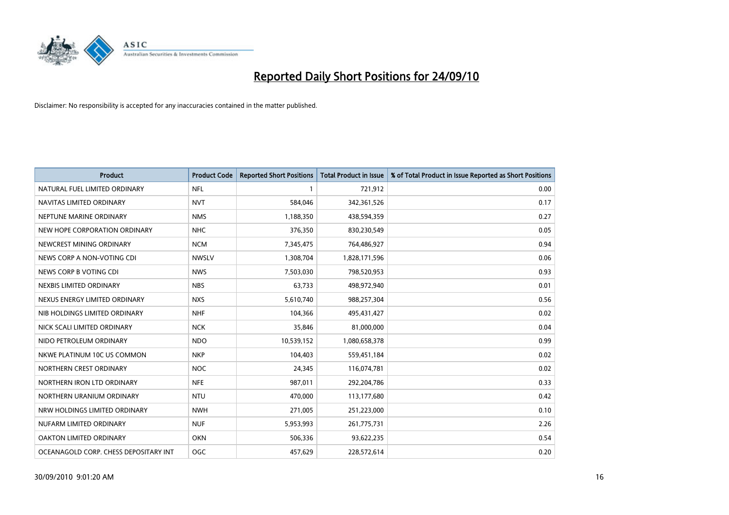

| <b>Product</b>                        | <b>Product Code</b> | <b>Reported Short Positions</b> | <b>Total Product in Issue</b> | % of Total Product in Issue Reported as Short Positions |
|---------------------------------------|---------------------|---------------------------------|-------------------------------|---------------------------------------------------------|
| NATURAL FUEL LIMITED ORDINARY         | <b>NFL</b>          |                                 | 721,912                       | 0.00                                                    |
| NAVITAS LIMITED ORDINARY              | <b>NVT</b>          | 584,046                         | 342,361,526                   | 0.17                                                    |
| NEPTUNE MARINE ORDINARY               | <b>NMS</b>          | 1,188,350                       | 438,594,359                   | 0.27                                                    |
| NEW HOPE CORPORATION ORDINARY         | NHC                 | 376,350                         | 830,230,549                   | 0.05                                                    |
| NEWCREST MINING ORDINARY              | <b>NCM</b>          | 7,345,475                       | 764,486,927                   | 0.94                                                    |
| NEWS CORP A NON-VOTING CDI            | <b>NWSLV</b>        | 1,308,704                       | 1,828,171,596                 | 0.06                                                    |
| NEWS CORP B VOTING CDI                | <b>NWS</b>          | 7,503,030                       | 798,520,953                   | 0.93                                                    |
| NEXBIS LIMITED ORDINARY               | <b>NBS</b>          | 63.733                          | 498,972,940                   | 0.01                                                    |
| NEXUS ENERGY LIMITED ORDINARY         | <b>NXS</b>          | 5,610,740                       | 988,257,304                   | 0.56                                                    |
| NIB HOLDINGS LIMITED ORDINARY         | <b>NHF</b>          | 104,366                         | 495,431,427                   | 0.02                                                    |
| NICK SCALI LIMITED ORDINARY           | <b>NCK</b>          | 35,846                          | 81,000,000                    | 0.04                                                    |
| NIDO PETROLEUM ORDINARY               | <b>NDO</b>          | 10,539,152                      | 1,080,658,378                 | 0.99                                                    |
| NKWE PLATINUM 10C US COMMON           | <b>NKP</b>          | 104,403                         | 559,451,184                   | 0.02                                                    |
| NORTHERN CREST ORDINARY               | <b>NOC</b>          | 24,345                          | 116,074,781                   | 0.02                                                    |
| NORTHERN IRON LTD ORDINARY            | <b>NFE</b>          | 987,011                         | 292,204,786                   | 0.33                                                    |
| NORTHERN URANIUM ORDINARY             | <b>NTU</b>          | 470,000                         | 113,177,680                   | 0.42                                                    |
| NRW HOLDINGS LIMITED ORDINARY         | <b>NWH</b>          | 271,005                         | 251,223,000                   | 0.10                                                    |
| NUFARM LIMITED ORDINARY               | <b>NUF</b>          | 5,953,993                       | 261,775,731                   | 2.26                                                    |
| OAKTON LIMITED ORDINARY               | <b>OKN</b>          | 506,336                         | 93,622,235                    | 0.54                                                    |
| OCEANAGOLD CORP. CHESS DEPOSITARY INT | <b>OGC</b>          | 457,629                         | 228,572,614                   | 0.20                                                    |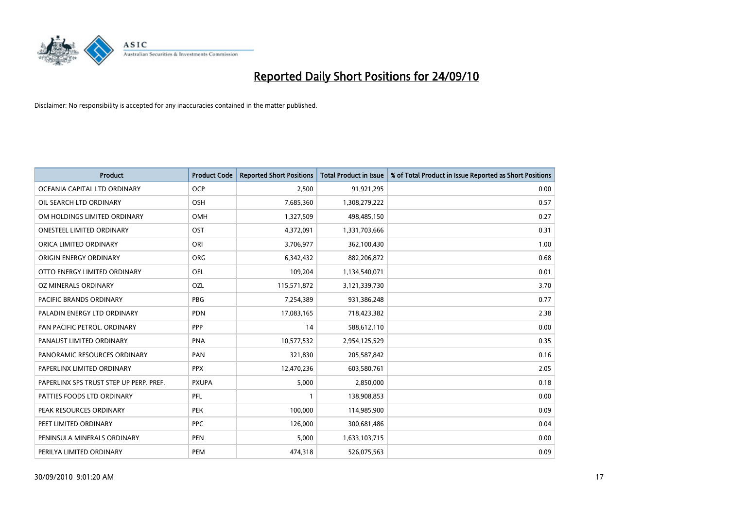

| <b>Product</b>                          | <b>Product Code</b> | <b>Reported Short Positions</b> | Total Product in Issue | % of Total Product in Issue Reported as Short Positions |
|-----------------------------------------|---------------------|---------------------------------|------------------------|---------------------------------------------------------|
| OCEANIA CAPITAL LTD ORDINARY            | <b>OCP</b>          | 2,500                           | 91,921,295             | 0.00                                                    |
| OIL SEARCH LTD ORDINARY                 | OSH                 | 7,685,360                       | 1,308,279,222          | 0.57                                                    |
| OM HOLDINGS LIMITED ORDINARY            | OMH                 | 1,327,509                       | 498,485,150            | 0.27                                                    |
| ONESTEEL LIMITED ORDINARY               | OST                 | 4,372,091                       | 1,331,703,666          | 0.31                                                    |
| ORICA LIMITED ORDINARY                  | ORI                 | 3,706,977                       | 362,100,430            | 1.00                                                    |
| ORIGIN ENERGY ORDINARY                  | <b>ORG</b>          | 6,342,432                       | 882,206,872            | 0.68                                                    |
| OTTO ENERGY LIMITED ORDINARY            | OEL                 | 109,204                         | 1,134,540,071          | 0.01                                                    |
| OZ MINERALS ORDINARY                    | OZL                 | 115,571,872                     | 3,121,339,730          | 3.70                                                    |
| <b>PACIFIC BRANDS ORDINARY</b>          | PBG                 | 7,254,389                       | 931,386,248            | 0.77                                                    |
| PALADIN ENERGY LTD ORDINARY             | <b>PDN</b>          | 17,083,165                      | 718,423,382            | 2.38                                                    |
| PAN PACIFIC PETROL. ORDINARY            | PPP                 | 14                              | 588,612,110            | 0.00                                                    |
| PANAUST LIMITED ORDINARY                | <b>PNA</b>          | 10,577,532                      | 2,954,125,529          | 0.35                                                    |
| PANORAMIC RESOURCES ORDINARY            | PAN                 | 321,830                         | 205,587,842            | 0.16                                                    |
| PAPERLINX LIMITED ORDINARY              | <b>PPX</b>          | 12,470,236                      | 603,580,761            | 2.05                                                    |
| PAPERLINX SPS TRUST STEP UP PERP. PREF. | <b>PXUPA</b>        | 5,000                           | 2,850,000              | 0.18                                                    |
| PATTIES FOODS LTD ORDINARY              | PFL                 |                                 | 138,908,853            | 0.00                                                    |
| PEAK RESOURCES ORDINARY                 | <b>PEK</b>          | 100,000                         | 114,985,900            | 0.09                                                    |
| PEET LIMITED ORDINARY                   | <b>PPC</b>          | 126,000                         | 300,681,486            | 0.04                                                    |
| PENINSULA MINERALS ORDINARY             | <b>PEN</b>          | 5,000                           | 1,633,103,715          | 0.00                                                    |
| PERILYA LIMITED ORDINARY                | PEM                 | 474,318                         | 526,075,563            | 0.09                                                    |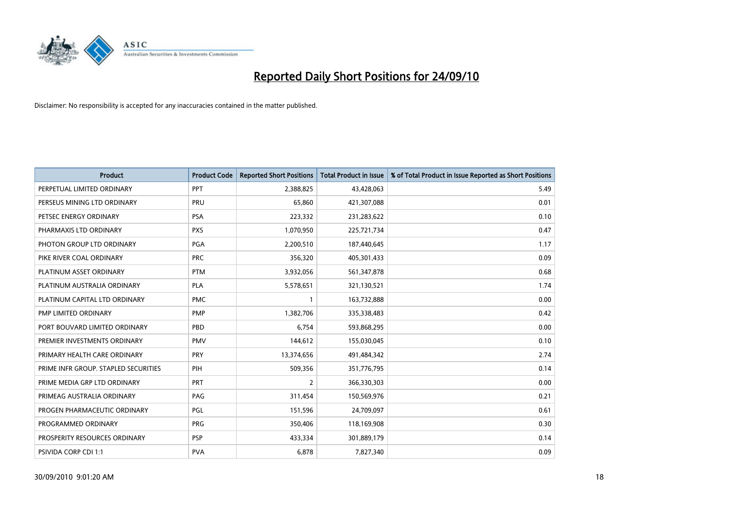

| <b>Product</b>                       | <b>Product Code</b> | <b>Reported Short Positions</b> | <b>Total Product in Issue</b> | % of Total Product in Issue Reported as Short Positions |
|--------------------------------------|---------------------|---------------------------------|-------------------------------|---------------------------------------------------------|
| PERPETUAL LIMITED ORDINARY           | PPT                 | 2,388,825                       | 43,428,063                    | 5.49                                                    |
| PERSEUS MINING LTD ORDINARY          | PRU                 | 65,860                          | 421,307,088                   | 0.01                                                    |
| PETSEC ENERGY ORDINARY               | <b>PSA</b>          | 223,332                         | 231,283,622                   | 0.10                                                    |
| PHARMAXIS LTD ORDINARY               | <b>PXS</b>          | 1,070,950                       | 225,721,734                   | 0.47                                                    |
| PHOTON GROUP LTD ORDINARY            | PGA                 | 2,200,510                       | 187,440,645                   | 1.17                                                    |
| PIKE RIVER COAL ORDINARY             | <b>PRC</b>          | 356,320                         | 405,301,433                   | 0.09                                                    |
| PLATINUM ASSET ORDINARY              | <b>PTM</b>          | 3,932,056                       | 561,347,878                   | 0.68                                                    |
| PLATINUM AUSTRALIA ORDINARY          | PLA                 | 5,578,651                       | 321,130,521                   | 1.74                                                    |
| PLATINUM CAPITAL LTD ORDINARY        | <b>PMC</b>          |                                 | 163,732,888                   | 0.00                                                    |
| PMP LIMITED ORDINARY                 | <b>PMP</b>          | 1,382,706                       | 335,338,483                   | 0.42                                                    |
| PORT BOUVARD LIMITED ORDINARY        | PBD                 | 6,754                           | 593,868,295                   | 0.00                                                    |
| PREMIER INVESTMENTS ORDINARY         | <b>PMV</b>          | 144,612                         | 155,030,045                   | 0.10                                                    |
| PRIMARY HEALTH CARE ORDINARY         | PRY                 | 13,374,656                      | 491,484,342                   | 2.74                                                    |
| PRIME INFR GROUP. STAPLED SECURITIES | PIH                 | 509,356                         | 351,776,795                   | 0.14                                                    |
| PRIME MEDIA GRP LTD ORDINARY         | <b>PRT</b>          | $\overline{2}$                  | 366,330,303                   | 0.00                                                    |
| PRIMEAG AUSTRALIA ORDINARY           | PAG                 | 311,454                         | 150,569,976                   | 0.21                                                    |
| PROGEN PHARMACEUTIC ORDINARY         | <b>PGL</b>          | 151,596                         | 24,709,097                    | 0.61                                                    |
| PROGRAMMED ORDINARY                  | <b>PRG</b>          | 350,406                         | 118,169,908                   | 0.30                                                    |
| PROSPERITY RESOURCES ORDINARY        | <b>PSP</b>          | 433,334                         | 301,889,179                   | 0.14                                                    |
| PSIVIDA CORP CDI 1:1                 | <b>PVA</b>          | 6,878                           | 7,827,340                     | 0.09                                                    |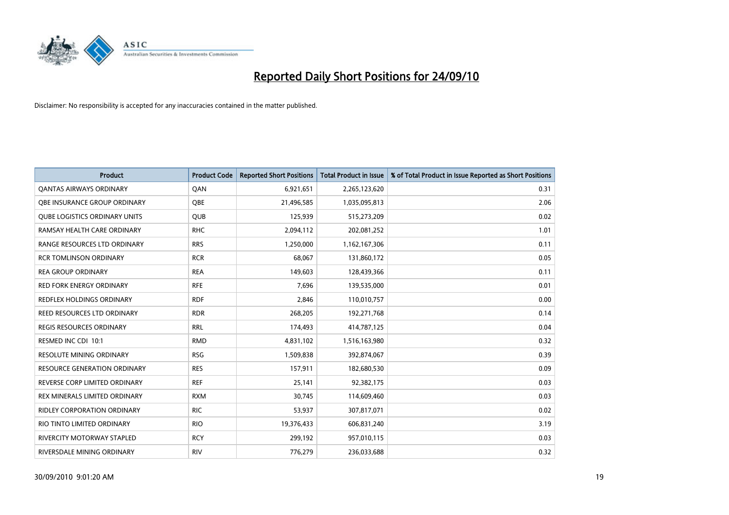

| <b>Product</b>                       | <b>Product Code</b> | <b>Reported Short Positions</b> | <b>Total Product in Issue</b> | % of Total Product in Issue Reported as Short Positions |
|--------------------------------------|---------------------|---------------------------------|-------------------------------|---------------------------------------------------------|
| <b>QANTAS AIRWAYS ORDINARY</b>       | QAN                 | 6,921,651                       | 2,265,123,620                 | 0.31                                                    |
| <b>OBE INSURANCE GROUP ORDINARY</b>  | OBE                 | 21,496,585                      | 1,035,095,813                 | 2.06                                                    |
| <b>QUBE LOGISTICS ORDINARY UNITS</b> | QUB                 | 125,939                         | 515,273,209                   | 0.02                                                    |
| RAMSAY HEALTH CARE ORDINARY          | <b>RHC</b>          | 2,094,112                       | 202,081,252                   | 1.01                                                    |
| RANGE RESOURCES LTD ORDINARY         | <b>RRS</b>          | 1,250,000                       | 1,162,167,306                 | 0.11                                                    |
| <b>RCR TOMLINSON ORDINARY</b>        | <b>RCR</b>          | 68,067                          | 131,860,172                   | 0.05                                                    |
| <b>REA GROUP ORDINARY</b>            | <b>REA</b>          | 149,603                         | 128,439,366                   | 0.11                                                    |
| <b>RED FORK ENERGY ORDINARY</b>      | <b>RFE</b>          | 7,696                           | 139,535,000                   | 0.01                                                    |
| REDFLEX HOLDINGS ORDINARY            | <b>RDF</b>          | 2,846                           | 110,010,757                   | 0.00                                                    |
| <b>REED RESOURCES LTD ORDINARY</b>   | <b>RDR</b>          | 268,205                         | 192,271,768                   | 0.14                                                    |
| <b>REGIS RESOURCES ORDINARY</b>      | <b>RRL</b>          | 174,493                         | 414,787,125                   | 0.04                                                    |
| RESMED INC CDI 10:1                  | <b>RMD</b>          | 4,831,102                       | 1,516,163,980                 | 0.32                                                    |
| <b>RESOLUTE MINING ORDINARY</b>      | <b>RSG</b>          | 1,509,838                       | 392,874,067                   | 0.39                                                    |
| <b>RESOURCE GENERATION ORDINARY</b>  | <b>RES</b>          | 157,911                         | 182,680,530                   | 0.09                                                    |
| REVERSE CORP LIMITED ORDINARY        | <b>REF</b>          | 25,141                          | 92,382,175                    | 0.03                                                    |
| REX MINERALS LIMITED ORDINARY        | <b>RXM</b>          | 30,745                          | 114,609,460                   | 0.03                                                    |
| <b>RIDLEY CORPORATION ORDINARY</b>   | <b>RIC</b>          | 53,937                          | 307,817,071                   | 0.02                                                    |
| RIO TINTO LIMITED ORDINARY           | <b>RIO</b>          | 19,376,433                      | 606,831,240                   | 3.19                                                    |
| <b>RIVERCITY MOTORWAY STAPLED</b>    | <b>RCY</b>          | 299,192                         | 957,010,115                   | 0.03                                                    |
| RIVERSDALE MINING ORDINARY           | <b>RIV</b>          | 776,279                         | 236,033,688                   | 0.32                                                    |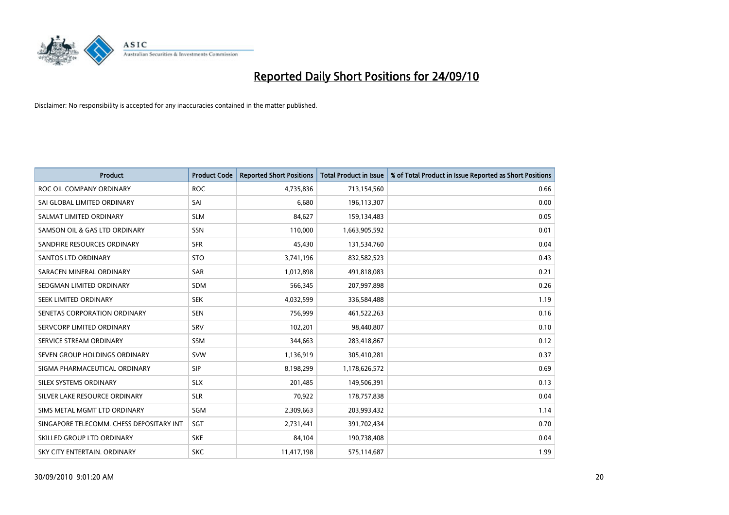

| <b>Product</b>                           | <b>Product Code</b> | <b>Reported Short Positions</b> | <b>Total Product in Issue</b> | % of Total Product in Issue Reported as Short Positions |
|------------------------------------------|---------------------|---------------------------------|-------------------------------|---------------------------------------------------------|
| ROC OIL COMPANY ORDINARY                 | <b>ROC</b>          | 4,735,836                       | 713,154,560                   | 0.66                                                    |
| SAI GLOBAL LIMITED ORDINARY              | SAI                 | 6,680                           | 196,113,307                   | 0.00                                                    |
| SALMAT LIMITED ORDINARY                  | <b>SLM</b>          | 84,627                          | 159,134,483                   | 0.05                                                    |
| SAMSON OIL & GAS LTD ORDINARY            | SSN                 | 110,000                         | 1,663,905,592                 | 0.01                                                    |
| SANDFIRE RESOURCES ORDINARY              | <b>SFR</b>          | 45,430                          | 131,534,760                   | 0.04                                                    |
| <b>SANTOS LTD ORDINARY</b>               | <b>STO</b>          | 3,741,196                       | 832,582,523                   | 0.43                                                    |
| SARACEN MINERAL ORDINARY                 | <b>SAR</b>          | 1,012,898                       | 491,818,083                   | 0.21                                                    |
| SEDGMAN LIMITED ORDINARY                 | <b>SDM</b>          | 566,345                         | 207,997,898                   | 0.26                                                    |
| SEEK LIMITED ORDINARY                    | <b>SEK</b>          | 4,032,599                       | 336,584,488                   | 1.19                                                    |
| SENETAS CORPORATION ORDINARY             | <b>SEN</b>          | 756,999                         | 461,522,263                   | 0.16                                                    |
| SERVCORP LIMITED ORDINARY                | SRV                 | 102,201                         | 98,440,807                    | 0.10                                                    |
| SERVICE STREAM ORDINARY                  | <b>SSM</b>          | 344,663                         | 283,418,867                   | 0.12                                                    |
| SEVEN GROUP HOLDINGS ORDINARY            | <b>SVW</b>          | 1,136,919                       | 305,410,281                   | 0.37                                                    |
| SIGMA PHARMACEUTICAL ORDINARY            | <b>SIP</b>          | 8,198,299                       | 1,178,626,572                 | 0.69                                                    |
| SILEX SYSTEMS ORDINARY                   | <b>SLX</b>          | 201,485                         | 149,506,391                   | 0.13                                                    |
| SILVER LAKE RESOURCE ORDINARY            | <b>SLR</b>          | 70,922                          | 178,757,838                   | 0.04                                                    |
| SIMS METAL MGMT LTD ORDINARY             | SGM                 | 2,309,663                       | 203,993,432                   | 1.14                                                    |
| SINGAPORE TELECOMM. CHESS DEPOSITARY INT | SGT                 | 2,731,441                       | 391,702,434                   | 0.70                                                    |
| SKILLED GROUP LTD ORDINARY               | <b>SKE</b>          | 84,104                          | 190,738,408                   | 0.04                                                    |
| SKY CITY ENTERTAIN, ORDINARY             | <b>SKC</b>          | 11,417,198                      | 575,114,687                   | 1.99                                                    |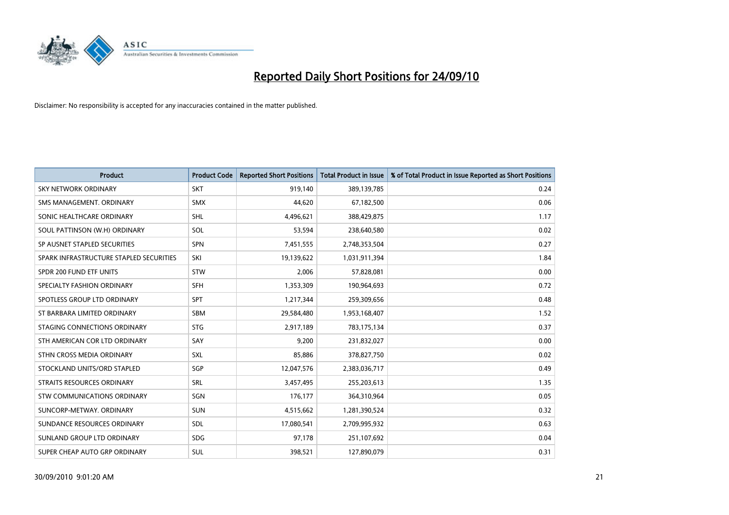

| <b>Product</b>                          | <b>Product Code</b> | <b>Reported Short Positions</b> | <b>Total Product in Issue</b> | % of Total Product in Issue Reported as Short Positions |
|-----------------------------------------|---------------------|---------------------------------|-------------------------------|---------------------------------------------------------|
| <b>SKY NETWORK ORDINARY</b>             | <b>SKT</b>          | 919,140                         | 389,139,785                   | 0.24                                                    |
| SMS MANAGEMENT. ORDINARY                | <b>SMX</b>          | 44,620                          | 67,182,500                    | 0.06                                                    |
| SONIC HEALTHCARE ORDINARY               | <b>SHL</b>          | 4,496,621                       | 388,429,875                   | 1.17                                                    |
| SOUL PATTINSON (W.H) ORDINARY           | SOL                 | 53,594                          | 238,640,580                   | 0.02                                                    |
| SP AUSNET STAPLED SECURITIES            | <b>SPN</b>          | 7,451,555                       | 2,748,353,504                 | 0.27                                                    |
| SPARK INFRASTRUCTURE STAPLED SECURITIES | SKI                 | 19,139,622                      | 1,031,911,394                 | 1.84                                                    |
| SPDR 200 FUND ETF UNITS                 | <b>STW</b>          | 2,006                           | 57,828,081                    | 0.00                                                    |
| SPECIALTY FASHION ORDINARY              | <b>SFH</b>          | 1,353,309                       | 190,964,693                   | 0.72                                                    |
| SPOTLESS GROUP LTD ORDINARY             | <b>SPT</b>          | 1,217,344                       | 259,309,656                   | 0.48                                                    |
| ST BARBARA LIMITED ORDINARY             | SBM                 | 29,584,480                      | 1,953,168,407                 | 1.52                                                    |
| STAGING CONNECTIONS ORDINARY            | <b>STG</b>          | 2,917,189                       | 783,175,134                   | 0.37                                                    |
| STH AMERICAN COR LTD ORDINARY           | SAY                 | 9,200                           | 231,832,027                   | 0.00                                                    |
| STHN CROSS MEDIA ORDINARY               | <b>SXL</b>          | 85,886                          | 378,827,750                   | 0.02                                                    |
| STOCKLAND UNITS/ORD STAPLED             | SGP                 | 12,047,576                      | 2,383,036,717                 | 0.49                                                    |
| STRAITS RESOURCES ORDINARY              | <b>SRL</b>          | 3,457,495                       | 255,203,613                   | 1.35                                                    |
| <b>STW COMMUNICATIONS ORDINARY</b>      | SGN                 | 176,177                         | 364,310,964                   | 0.05                                                    |
| SUNCORP-METWAY, ORDINARY                | <b>SUN</b>          | 4,515,662                       | 1,281,390,524                 | 0.32                                                    |
| SUNDANCE RESOURCES ORDINARY             | <b>SDL</b>          | 17,080,541                      | 2,709,995,932                 | 0.63                                                    |
| SUNLAND GROUP LTD ORDINARY              | <b>SDG</b>          | 97,178                          | 251,107,692                   | 0.04                                                    |
| SUPER CHEAP AUTO GRP ORDINARY           | SUL                 | 398,521                         | 127,890,079                   | 0.31                                                    |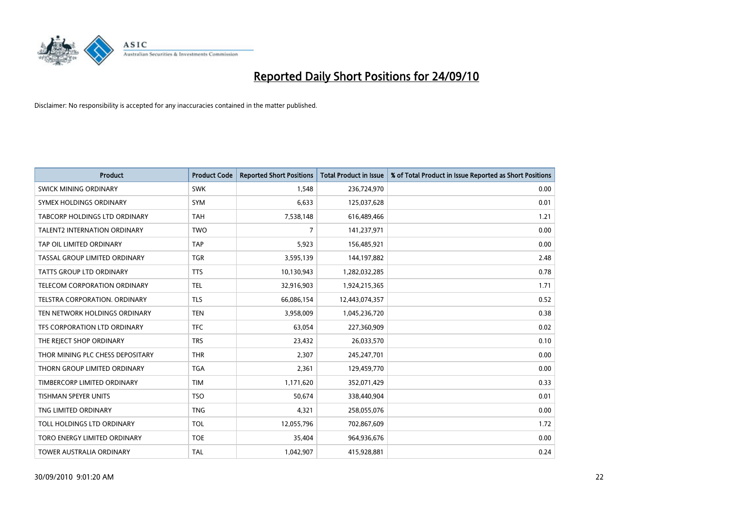

| <b>Product</b>                   | <b>Product Code</b> | <b>Reported Short Positions</b> | Total Product in Issue | % of Total Product in Issue Reported as Short Positions |
|----------------------------------|---------------------|---------------------------------|------------------------|---------------------------------------------------------|
| <b>SWICK MINING ORDINARY</b>     | <b>SWK</b>          | 1,548                           | 236,724,970            | 0.00                                                    |
| SYMEX HOLDINGS ORDINARY          | <b>SYM</b>          | 6,633                           | 125,037,628            | 0.01                                                    |
| TABCORP HOLDINGS LTD ORDINARY    | <b>TAH</b>          | 7,538,148                       | 616,489,466            | 1.21                                                    |
| TALENT2 INTERNATION ORDINARY     | <b>TWO</b>          | 7                               | 141,237,971            | 0.00                                                    |
| TAP OIL LIMITED ORDINARY         | <b>TAP</b>          | 5,923                           | 156,485,921            | 0.00                                                    |
| TASSAL GROUP LIMITED ORDINARY    | <b>TGR</b>          | 3,595,139                       | 144,197,882            | 2.48                                                    |
| TATTS GROUP LTD ORDINARY         | <b>TTS</b>          | 10,130,943                      | 1,282,032,285          | 0.78                                                    |
| TELECOM CORPORATION ORDINARY     | <b>TEL</b>          | 32,916,903                      | 1,924,215,365          | 1.71                                                    |
| TELSTRA CORPORATION, ORDINARY    | <b>TLS</b>          | 66,086,154                      | 12,443,074,357         | 0.52                                                    |
| TEN NETWORK HOLDINGS ORDINARY    | <b>TEN</b>          | 3,958,009                       | 1,045,236,720          | 0.38                                                    |
| TFS CORPORATION LTD ORDINARY     | <b>TFC</b>          | 63,054                          | 227,360,909            | 0.02                                                    |
| THE REJECT SHOP ORDINARY         | <b>TRS</b>          | 23,432                          | 26,033,570             | 0.10                                                    |
| THOR MINING PLC CHESS DEPOSITARY | <b>THR</b>          | 2,307                           | 245,247,701            | 0.00                                                    |
| THORN GROUP LIMITED ORDINARY     | <b>TGA</b>          | 2,361                           | 129,459,770            | 0.00                                                    |
| TIMBERCORP LIMITED ORDINARY      | <b>TIM</b>          | 1,171,620                       | 352,071,429            | 0.33                                                    |
| <b>TISHMAN SPEYER UNITS</b>      | <b>TSO</b>          | 50,674                          | 338,440,904            | 0.01                                                    |
| TNG LIMITED ORDINARY             | <b>TNG</b>          | 4,321                           | 258,055,076            | 0.00                                                    |
| TOLL HOLDINGS LTD ORDINARY       | <b>TOL</b>          | 12,055,796                      | 702,867,609            | 1.72                                                    |
| TORO ENERGY LIMITED ORDINARY     | <b>TOE</b>          | 35,404                          | 964,936,676            | 0.00                                                    |
| TOWER AUSTRALIA ORDINARY         | <b>TAL</b>          | 1,042,907                       | 415,928,881            | 0.24                                                    |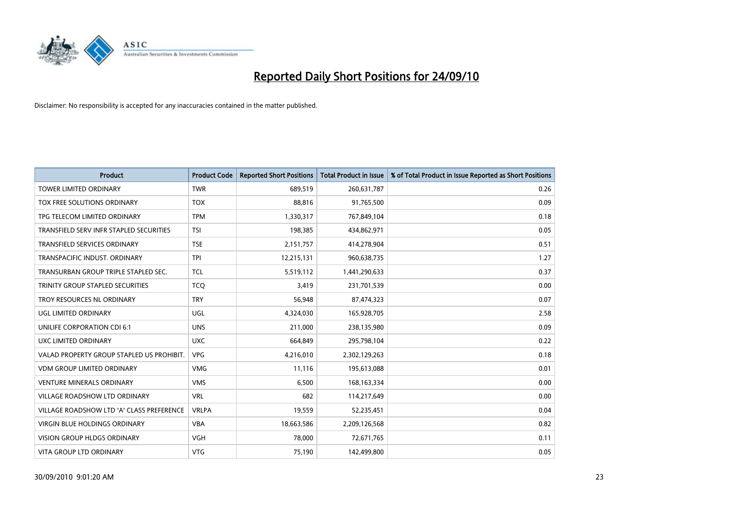

| <b>Product</b>                            | <b>Product Code</b> | <b>Reported Short Positions</b> | Total Product in Issue | % of Total Product in Issue Reported as Short Positions |
|-------------------------------------------|---------------------|---------------------------------|------------------------|---------------------------------------------------------|
| <b>TOWER LIMITED ORDINARY</b>             | <b>TWR</b>          | 689,519                         | 260,631,787            | 0.26                                                    |
| TOX FREE SOLUTIONS ORDINARY               | <b>TOX</b>          | 88,816                          | 91,765,500             | 0.09                                                    |
| TPG TELECOM LIMITED ORDINARY              | <b>TPM</b>          | 1,330,317                       | 767,849,104            | 0.18                                                    |
| TRANSFIELD SERV INFR STAPLED SECURITIES   | <b>TSI</b>          | 198,385                         | 434,862,971            | 0.05                                                    |
| <b>TRANSFIELD SERVICES ORDINARY</b>       | <b>TSE</b>          | 2,151,757                       | 414,278,904            | 0.51                                                    |
| TRANSPACIFIC INDUST, ORDINARY             | <b>TPI</b>          | 12,215,131                      | 960,638,735            | 1.27                                                    |
| TRANSURBAN GROUP TRIPLE STAPLED SEC.      | <b>TCL</b>          | 5,519,112                       | 1,441,290,633          | 0.37                                                    |
| TRINITY GROUP STAPLED SECURITIES          | <b>TCQ</b>          | 3,419                           | 231,701,539            | 0.00                                                    |
| TROY RESOURCES NL ORDINARY                | <b>TRY</b>          | 56,948                          | 87,474,323             | 0.07                                                    |
| UGL LIMITED ORDINARY                      | UGL                 | 4,324,030                       | 165,928,705            | 2.58                                                    |
| UNILIFE CORPORATION CDI 6:1               | <b>UNS</b>          | 211,000                         | 238,135,980            | 0.09                                                    |
| UXC LIMITED ORDINARY                      | <b>UXC</b>          | 664,849                         | 295,798,104            | 0.22                                                    |
| VALAD PROPERTY GROUP STAPLED US PROHIBIT. | <b>VPG</b>          | 4,216,010                       | 2,302,129,263          | 0.18                                                    |
| <b>VDM GROUP LIMITED ORDINARY</b>         | <b>VMG</b>          | 11,116                          | 195,613,088            | 0.01                                                    |
| <b>VENTURE MINERALS ORDINARY</b>          | <b>VMS</b>          | 6,500                           | 168, 163, 334          | 0.00                                                    |
| VILLAGE ROADSHOW LTD ORDINARY             | <b>VRL</b>          | 682                             | 114,217,649            | 0.00                                                    |
| VILLAGE ROADSHOW LTD 'A' CLASS PREFERENCE | <b>VRLPA</b>        | 19,559                          | 52,235,451             | 0.04                                                    |
| VIRGIN BLUE HOLDINGS ORDINARY             | <b>VBA</b>          | 18,663,586                      | 2,209,126,568          | 0.82                                                    |
| <b>VISION GROUP HLDGS ORDINARY</b>        | <b>VGH</b>          | 78,000                          | 72,671,765             | 0.11                                                    |
| <b>VITA GROUP LTD ORDINARY</b>            | <b>VTG</b>          | 75,190                          | 142.499.800            | 0.05                                                    |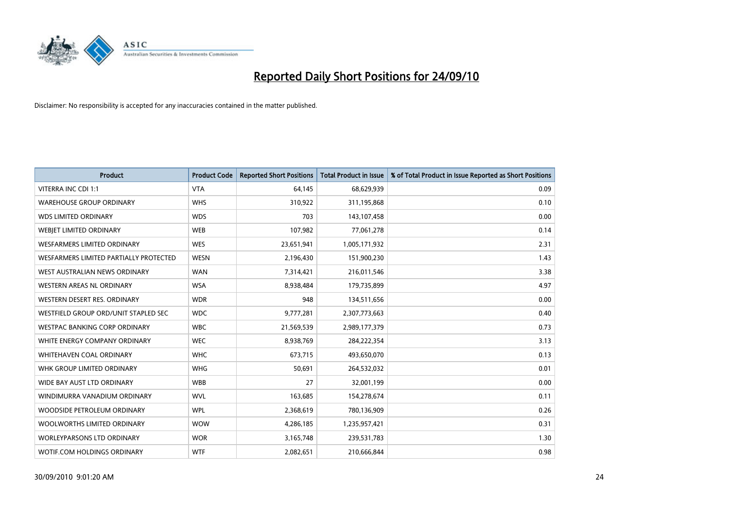

| <b>Product</b>                         | <b>Product Code</b> | <b>Reported Short Positions</b> | <b>Total Product in Issue</b> | % of Total Product in Issue Reported as Short Positions |
|----------------------------------------|---------------------|---------------------------------|-------------------------------|---------------------------------------------------------|
| <b>VITERRA INC CDI 1:1</b>             | <b>VTA</b>          | 64,145                          | 68,629,939                    | 0.09                                                    |
| <b>WAREHOUSE GROUP ORDINARY</b>        | <b>WHS</b>          | 310,922                         | 311,195,868                   | 0.10                                                    |
| <b>WDS LIMITED ORDINARY</b>            | <b>WDS</b>          | 703                             | 143,107,458                   | 0.00                                                    |
| <b>WEBJET LIMITED ORDINARY</b>         | <b>WEB</b>          | 107,982                         | 77,061,278                    | 0.14                                                    |
| WESFARMERS LIMITED ORDINARY            | <b>WES</b>          | 23,651,941                      | 1,005,171,932                 | 2.31                                                    |
| WESFARMERS LIMITED PARTIALLY PROTECTED | <b>WESN</b>         | 2,196,430                       | 151,900,230                   | 1.43                                                    |
| WEST AUSTRALIAN NEWS ORDINARY          | <b>WAN</b>          | 7,314,421                       | 216,011,546                   | 3.38                                                    |
| WESTERN AREAS NL ORDINARY              | <b>WSA</b>          | 8,938,484                       | 179,735,899                   | 4.97                                                    |
| WESTERN DESERT RES. ORDINARY           | <b>WDR</b>          | 948                             | 134,511,656                   | 0.00                                                    |
| WESTFIELD GROUP ORD/UNIT STAPLED SEC   | <b>WDC</b>          | 9,777,281                       | 2,307,773,663                 | 0.40                                                    |
| WESTPAC BANKING CORP ORDINARY          | <b>WBC</b>          | 21,569,539                      | 2,989,177,379                 | 0.73                                                    |
| WHITE ENERGY COMPANY ORDINARY          | <b>WEC</b>          | 8,938,769                       | 284,222,354                   | 3.13                                                    |
| WHITEHAVEN COAL ORDINARY               | <b>WHC</b>          | 673,715                         | 493,650,070                   | 0.13                                                    |
| WHK GROUP LIMITED ORDINARY             | <b>WHG</b>          | 50,691                          | 264,532,032                   | 0.01                                                    |
| WIDE BAY AUST LTD ORDINARY             | <b>WBB</b>          | 27                              | 32,001,199                    | 0.00                                                    |
| WINDIMURRA VANADIUM ORDINARY           | <b>WVL</b>          | 163,685                         | 154,278,674                   | 0.11                                                    |
| WOODSIDE PETROLEUM ORDINARY            | <b>WPL</b>          | 2,368,619                       | 780,136,909                   | 0.26                                                    |
| WOOLWORTHS LIMITED ORDINARY            | <b>WOW</b>          | 4,286,185                       | 1,235,957,421                 | 0.31                                                    |
| <b>WORLEYPARSONS LTD ORDINARY</b>      | <b>WOR</b>          | 3,165,748                       | 239,531,783                   | 1.30                                                    |
| WOTIF.COM HOLDINGS ORDINARY            | <b>WTF</b>          | 2,082,651                       | 210,666,844                   | 0.98                                                    |